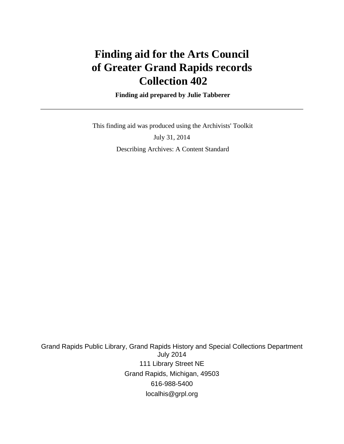# **Finding aid for the Arts Council of Greater Grand Rapids records Collection 402**

 **Finding aid prepared by Julie Tabberer**

 This finding aid was produced using the Archivists' Toolkit July 31, 2014 Describing Archives: A Content Standard

Grand Rapids Public Library, Grand Rapids History and Special Collections Department July 2014 111 Library Street NE Grand Rapids, Michigan, 49503 616-988-5400 localhis@grpl.org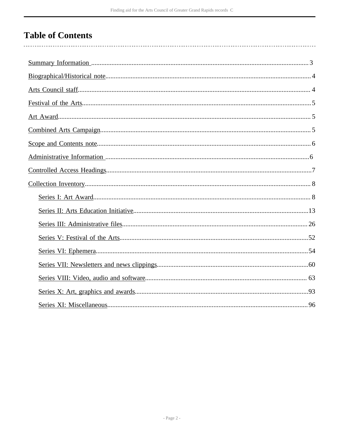# **Table of Contents**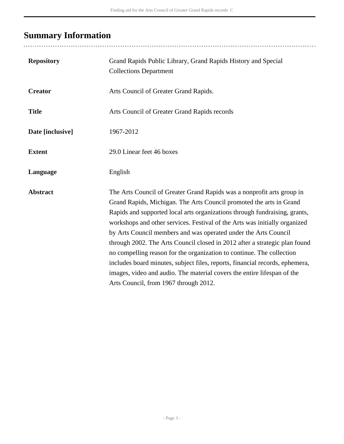# <span id="page-2-0"></span>**Summary Information**

| <b>Repository</b> | Grand Rapids Public Library, Grand Rapids History and Special<br><b>Collections Department</b>                                                                                                                                                                                                                                                                                                                                                                                                                                                                                                                                                                                                                                          |
|-------------------|-----------------------------------------------------------------------------------------------------------------------------------------------------------------------------------------------------------------------------------------------------------------------------------------------------------------------------------------------------------------------------------------------------------------------------------------------------------------------------------------------------------------------------------------------------------------------------------------------------------------------------------------------------------------------------------------------------------------------------------------|
| <b>Creator</b>    | Arts Council of Greater Grand Rapids.                                                                                                                                                                                                                                                                                                                                                                                                                                                                                                                                                                                                                                                                                                   |
| <b>Title</b>      | Arts Council of Greater Grand Rapids records                                                                                                                                                                                                                                                                                                                                                                                                                                                                                                                                                                                                                                                                                            |
| Date [inclusive]  | 1967-2012                                                                                                                                                                                                                                                                                                                                                                                                                                                                                                                                                                                                                                                                                                                               |
| <b>Extent</b>     | 29.0 Linear feet 46 boxes                                                                                                                                                                                                                                                                                                                                                                                                                                                                                                                                                                                                                                                                                                               |
| Language          | English                                                                                                                                                                                                                                                                                                                                                                                                                                                                                                                                                                                                                                                                                                                                 |
| <b>Abstract</b>   | The Arts Council of Greater Grand Rapids was a nonprofit arts group in<br>Grand Rapids, Michigan. The Arts Council promoted the arts in Grand<br>Rapids and supported local arts organizations through fundraising, grants,<br>workshops and other services. Festival of the Arts was initially organized<br>by Arts Council members and was operated under the Arts Council<br>through 2002. The Arts Council closed in 2012 after a strategic plan found<br>no compelling reason for the organization to continue. The collection<br>includes board minutes, subject files, reports, financial records, ephemera,<br>images, video and audio. The material covers the entire lifespan of the<br>Arts Council, from 1967 through 2012. |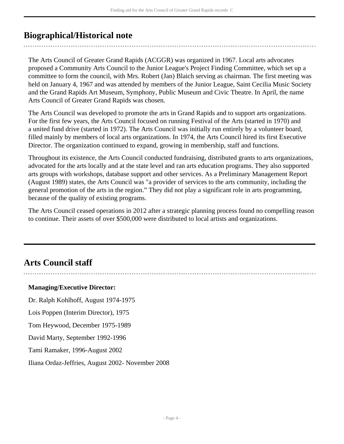# <span id="page-3-0"></span>**Biographical/Historical note**

The Arts Council of Greater Grand Rapids (ACGGR) was organized in 1967. Local arts advocates proposed a Community Arts Council to the Junior League's Project Finding Committee, which set up a committee to form the council, with Mrs. Robert (Jan) Blaich serving as chairman. The first meeting was held on January 4, 1967 and was attended by members of the Junior League, Saint Cecilia Music Society and the Grand Rapids Art Museum, Symphony, Public Museum and Civic Theatre. In April, the name Arts Council of Greater Grand Rapids was chosen.

The Arts Council was developed to promote the arts in Grand Rapids and to support arts organizations. For the first few years, the Arts Council focused on running Festival of the Arts (started in 1970) and a united fund drive (started in 1972). The Arts Council was initially run entirely by a volunteer board, filled mainly by members of local arts organizations. In 1974, the Arts Council hired its first Executive Director. The organization continued to expand, growing in membership, staff and functions.

Throughout its existence, the Arts Council conducted fundraising, distributed grants to arts organizations, advocated for the arts locally and at the state level and ran arts education programs. They also supported arts groups with workshops, database support and other services. As a Preliminary Management Report (August 1989) states, the Arts Council was "a provider of services to the arts community, including the general promotion of the arts in the region." They did not play a significant role in arts programming, because of the quality of existing programs.

The Arts Council ceased operations in 2012 after a strategic planning process found no compelling reason to continue. Their assets of over \$500,000 were distributed to local artists and organizations.

# <span id="page-3-1"></span>**Arts Council staff**

### **Managing/Executive Director:**

Dr. Ralph Kohlhoff, August 1974-1975

Lois Poppen (Interim Director), 1975

Tom Heywood, December 1975-1989

David Marty, September 1992-1996

Tami Ramaker, 1996-August 2002

Iliana Ordaz-Jeffries, August 2002- November 2008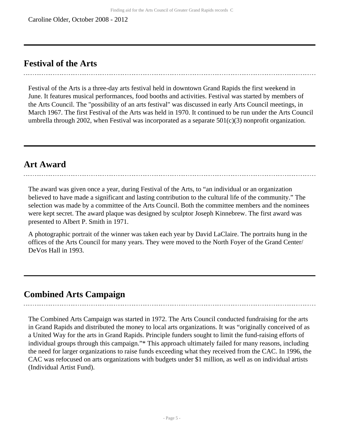# <span id="page-4-0"></span>**Festival of the Arts**

Festival of the Arts is a three-day arts festival held in downtown Grand Rapids the first weekend in June. It features musical performances, food booths and activities. Festival was started by members of the Arts Council. The "possibility of an arts festival" was discussed in early Arts Council meetings, in March 1967. The first Festival of the Arts was held in 1970. It continued to be run under the Arts Council umbrella through 2002, when Festival was incorporated as a separate 501(c)(3) nonprofit organization.

# <span id="page-4-1"></span>**Art Award**

The award was given once a year, during Festival of the Arts, to "an individual or an organization believed to have made a significant and lasting contribution to the cultural life of the community." The selection was made by a committee of the Arts Council. Both the committee members and the nominees were kept secret. The award plaque was designed by sculptor Joseph Kinnebrew. The first award was presented to Albert P. Smith in 1971.

A photographic portrait of the winner was taken each year by David LaClaire. The portraits hung in the offices of the Arts Council for many years. They were moved to the North Foyer of the Grand Center/ DeVos Hall in 1993.

# <span id="page-4-2"></span>**Combined Arts Campaign**

The Combined Arts Campaign was started in 1972. The Arts Council conducted fundraising for the arts in Grand Rapids and distributed the money to local arts organizations. It was "originally conceived of as a United Way for the arts in Grand Rapids. Principle funders sought to limit the fund-raising efforts of individual groups through this campaign."\* This approach ultimately failed for many reasons, including the need for larger organizations to raise funds exceeding what they received from the CAC. In 1996, the CAC was refocused on arts organizations with budgets under \$1 million, as well as on individual artists (Individual Artist Fund).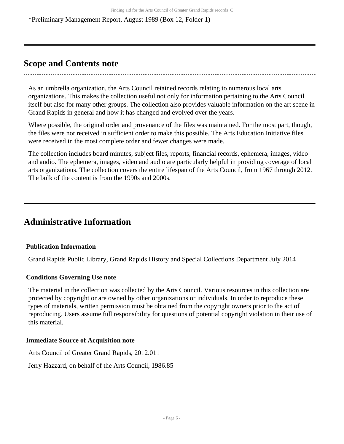\*Preliminary Management Report, August 1989 (Box 12, Folder 1)

# <span id="page-5-0"></span>**Scope and Contents note**

As an umbrella organization, the Arts Council retained records relating to numerous local arts organizations. This makes the collection useful not only for information pertaining to the Arts Council itself but also for many other groups. The collection also provides valuable information on the art scene in Grand Rapids in general and how it has changed and evolved over the years.

Where possible, the original order and provenance of the files was maintained. For the most part, though, the files were not received in sufficient order to make this possible. The Arts Education Initiative files were received in the most complete order and fewer changes were made.

The collection includes board minutes, subject files, reports, financial records, ephemera, images, video and audio. The ephemera, images, video and audio are particularly helpful in providing coverage of local arts organizations. The collection covers the entire lifespan of the Arts Council, from 1967 through 2012. The bulk of the content is from the 1990s and 2000s.

# <span id="page-5-1"></span>**Administrative Information**

### **Publication Information**

Grand Rapids Public Library, Grand Rapids History and Special Collections Department July 2014

# **Conditions Governing Use note**

The material in the collection was collected by the Arts Council. Various resources in this collection are protected by copyright or are owned by other organizations or individuals. In order to reproduce these types of materials, written permission must be obtained from the copyright owners prior to the act of reproducing. Users assume full responsibility for questions of potential copyright violation in their use of this material.

### **Immediate Source of Acquisition note**

Arts Council of Greater Grand Rapids, 2012.011

Jerry Hazzard, on behalf of the Arts Council, 1986.85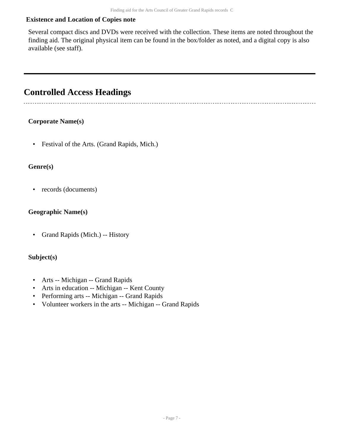## **Existence and Location of Copies note**

Several compact discs and DVDs were received with the collection. These items are noted throughout the finding aid. The original physical item can be found in the box/folder as noted, and a digital copy is also available (see staff).

# <span id="page-6-0"></span>**Controlled Access Headings**

### **Corporate Name(s)**

• Festival of the Arts. (Grand Rapids, Mich.)

### **Genre(s)**

• records (documents)

### **Geographic Name(s)**

• Grand Rapids (Mich.) -- History

# **Subject(s)**

- Arts -- Michigan -- Grand Rapids
- Arts in education -- Michigan -- Kent County
- Performing arts -- Michigan -- Grand Rapids
- Volunteer workers in the arts -- Michigan -- Grand Rapids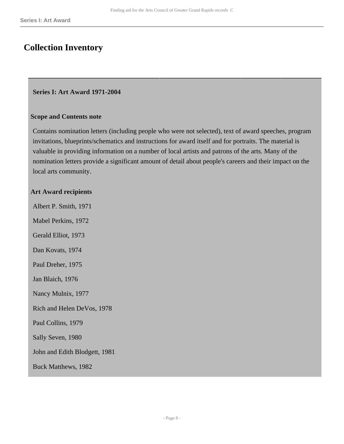# <span id="page-7-0"></span>**Collection Inventory**

#### <span id="page-7-1"></span>**Series I: Art Award 1971-2004**

#### **Scope and Contents note**

Contains nomination letters (including people who were not selected), text of award speeches, program invitations, blueprints/schematics and instructions for award itself and for portraits. The material is valuable in providing information on a number of local artists and patrons of the arts. Many of the nomination letters provide a significant amount of detail about people's careers and their impact on the local arts community.

#### **Art Award recipients**

Albert P. Smith, 1971 Mabel Perkins, 1972 Gerald Elliot, 1973 Dan Kovats, 1974 Paul Dreher, 1975 Jan Blaich, 1976 Nancy Mulnix, 1977 Rich and Helen DeVos, 1978 Paul Collins, 1979 Sally Seven, 1980 John and Edith Blodgett, 1981 Buck Matthews, 1982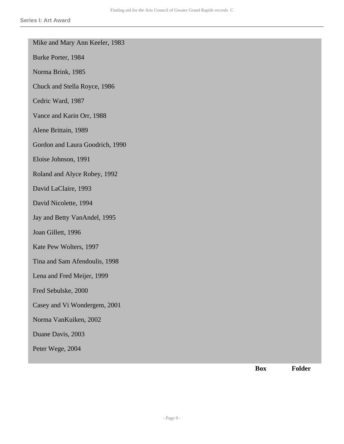|  |  |  |  | Mike and Mary Ann Keeler, 1983 |  |
|--|--|--|--|--------------------------------|--|
|--|--|--|--|--------------------------------|--|

Burke Porter, 1984

Norma Brink, 1985

Chuck and Stella Royce, 1986

Cedric Ward, 1987

Vance and Karin Orr, 1988

Alene Brittain, 1989

Gordon and Laura Goodrich, 1990

Eloise Johnson, 1991

Roland and Alyce Robey, 1992

David LaClaire, 1993

David Nicolette, 1994

Jay and Betty VanAndel, 1995

Joan Gillett, 1996

Kate Pew Wolters, 1997

Tina and Sam Afendoulis, 1998

Lena and Fred Meijer, 1999

Fred Sebulske, 2000

Casey and Vi Wondergem, 2001

Norma VanKuiken, 2002

Duane Davis, 2003

Peter Wege, 2004

**Box Folder**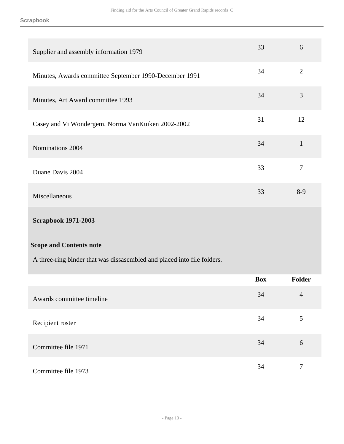| Supplier and assembly information 1979                                  | 33         | 6              |
|-------------------------------------------------------------------------|------------|----------------|
| Minutes, Awards committee September 1990-December 1991                  | 34         | $\overline{2}$ |
| Minutes, Art Award committee 1993                                       | 34         | 3              |
| Casey and Vi Wondergem, Norma VanKuiken 2002-2002                       | 31         | 12             |
| Nominations 2004                                                        | 34         | $\mathbf{1}$   |
| Duane Davis 2004                                                        | 33         | $\tau$         |
| Miscellaneous                                                           | 33         | $8-9$          |
| <b>Scrapbook 1971-2003</b>                                              |            |                |
| <b>Scope and Contents note</b>                                          |            |                |
| A three-ring binder that was dissasembled and placed into file folders. |            |                |
|                                                                         | <b>Box</b> | Folder         |
| Awards committee timeline                                               | 34         | $\overline{4}$ |
| Recipient roster                                                        | 34         | 5              |
| Committee file 1971                                                     | 34         | $\sqrt{6}$     |

Committee file 1973 34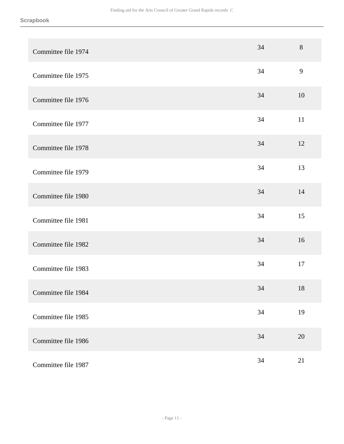| Committee file 1974 | 34 | 8      |
|---------------------|----|--------|
| Committee file 1975 | 34 | 9      |
| Committee file 1976 | 34 | 10     |
| Committee file 1977 | 34 | $11\,$ |
| Committee file 1978 | 34 | 12     |
| Committee file 1979 | 34 | 13     |
| Committee file 1980 | 34 | 14     |
| Committee file 1981 | 34 | 15     |
| Committee file 1982 | 34 | 16     |
| Committee file 1983 | 34 | 17     |
| Committee file 1984 | 34 | 18     |
| Committee file 1985 | 34 | 19     |
| Committee file 1986 | 34 | $20\,$ |
| Committee file 1987 | 34 | 21     |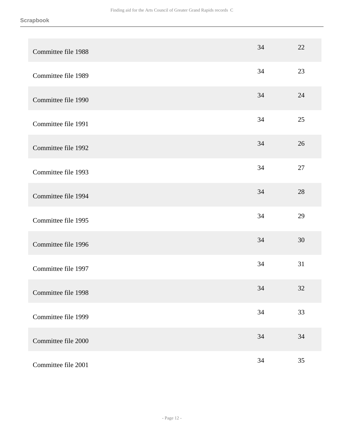| Committee file 1988 | 34 | 22 |
|---------------------|----|----|
| Committee file 1989 | 34 | 23 |
| Committee file 1990 | 34 | 24 |
| Committee file 1991 | 34 | 25 |
| Committee file 1992 | 34 | 26 |
| Committee file 1993 | 34 | 27 |
| Committee file 1994 | 34 | 28 |
| Committee file 1995 | 34 | 29 |
| Committee file 1996 | 34 | 30 |
| Committee file 1997 | 34 | 31 |
| Committee file 1998 | 34 | 32 |
| Committee file 1999 | 34 | 33 |
| Committee file 2000 | 34 | 34 |
| Committee file 2001 | 34 | 35 |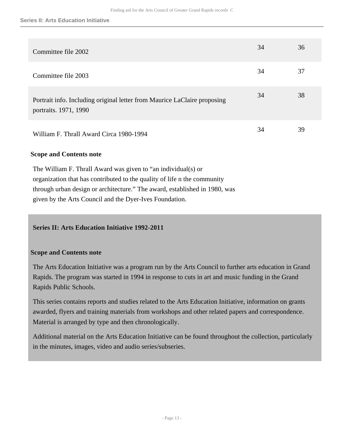| Committee file 2002                                                                               | 34 | 36 |
|---------------------------------------------------------------------------------------------------|----|----|
| Committee file 2003                                                                               | 34 | 37 |
| Portrait info. Including original letter from Maurice LaClaire proposing<br>portraits. 1971, 1990 | 34 | 38 |
| William F. Thrall Award Circa 1980-1994                                                           | 34 | 39 |

### **Scope and Contents note**

The William F. Thrall Award was given to "an individual(s) or organization that has contributed to the quality of life n the community through urban design or architecture." The award, established in 1980, was given by the Arts Council and the Dyer-Ives Foundation.

### <span id="page-12-0"></span>**Series II: Arts Education Initiative 1992-2011**

#### **Scope and Contents note**

The Arts Education Initiative was a program run by the Arts Council to further arts education in Grand Rapids. The program was started in 1994 in response to cuts in art and music funding in the Grand Rapids Public Schools.

This series contains reports and studies related to the Arts Education Initiative, information on grants awarded, flyers and training materials from workshops and other related papers and correspondence. Material is arranged by type and then chronologically.

Additional material on the Arts Education Initiative can be found throughout the collection, particularly in the minutes, images, video and audio series/subseries.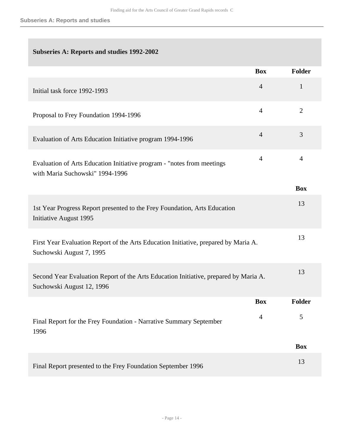## **Subseries A: Reports and studies 1992-2002**

|                                                                                                                   | <b>Box</b>     | Folder          |
|-------------------------------------------------------------------------------------------------------------------|----------------|-----------------|
| Initial task force 1992-1993                                                                                      | $\overline{4}$ | $\mathbf{1}$    |
| Proposal to Frey Foundation 1994-1996                                                                             | $\overline{4}$ | $\overline{2}$  |
| Evaluation of Arts Education Initiative program 1994-1996                                                         | $\overline{4}$ | 3               |
| Evaluation of Arts Education Initiative program - "notes from meetings<br>with Maria Suchowski" 1994-1996         | $\overline{4}$ | $\overline{4}$  |
|                                                                                                                   |                | <b>Box</b>      |
| 1st Year Progress Report presented to the Frey Foundation, Arts Education<br><b>Initiative August 1995</b>        |                | 13              |
| First Year Evaluation Report of the Arts Education Initiative, prepared by Maria A.<br>Suchowski August 7, 1995   |                | 13              |
| Second Year Evaluation Report of the Arts Education Initiative, prepared by Maria A.<br>Suchowski August 12, 1996 |                | 13              |
|                                                                                                                   | <b>Box</b>     | Folder          |
| Final Report for the Frey Foundation - Narrative Summary September<br>1996                                        | $\overline{4}$ | $5\overline{)}$ |
|                                                                                                                   |                | <b>Box</b>      |
| Final Report presented to the Frey Foundation September 1996                                                      |                | 13              |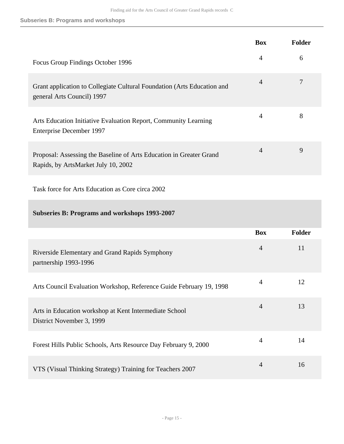#### **Subseries B: Programs and workshops**

|                                                                                                            | <b>Box</b>     | Folder |
|------------------------------------------------------------------------------------------------------------|----------------|--------|
| Focus Group Findings October 1996                                                                          | $\overline{4}$ | 6      |
| Grant application to Collegiate Cultural Foundation (Arts Education and<br>general Arts Council) 1997      | $\overline{4}$ | 7      |
| Arts Education Initiative Evaluation Report, Community Learning<br>Enterprise December 1997                | $\overline{4}$ | 8      |
| Proposal: Assessing the Baseline of Arts Education in Greater Grand<br>Rapids, by ArtsMarket July 10, 2002 | $\overline{4}$ | 9      |
| Task force for Arts Education as Core circa 2002                                                           |                |        |
|                                                                                                            |                |        |

## **Subseries B: Programs and workshops 1993-2007**

|                                                                                     | <b>Box</b>     | <b>Folder</b> |
|-------------------------------------------------------------------------------------|----------------|---------------|
| Riverside Elementary and Grand Rapids Symphony<br>partnership 1993-1996             | $\overline{4}$ | 11            |
| Arts Council Evaluation Workshop, Reference Guide February 19, 1998                 | 4              | 12            |
| Arts in Education workshop at Kent Intermediate School<br>District November 3, 1999 | $\overline{4}$ | 13            |
| Forest Hills Public Schools, Arts Resource Day February 9, 2000                     | 4              | 14            |
| VTS (Visual Thinking Strategy) Training for Teachers 2007                           | 4              | 16            |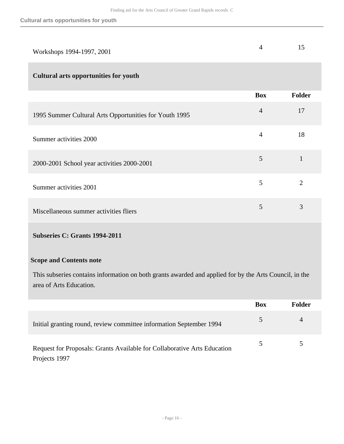| Workshops 1994-1997, 2001                              | 4              | 15             |
|--------------------------------------------------------|----------------|----------------|
| <b>Cultural arts opportunities for youth</b>           |                |                |
|                                                        | <b>Box</b>     | <b>Folder</b>  |
| 1995 Summer Cultural Arts Opportunities for Youth 1995 | $\overline{4}$ | 17             |
| Summer activities 2000                                 | $\overline{4}$ | 18             |
| 2000-2001 School year activities 2000-2001             | 5              | $\mathbf{1}$   |
| Summer activities 2001                                 | 5              | $\overline{2}$ |
| Miscellaneous summer activities fliers                 | 5              | 3              |

# **Subseries C: Grants 1994-2011**

#### **Scope and Contents note**

This subseries contains information on both grants awarded and applied for by the Arts Council, in the area of Arts Education.

|                                                                                           | <b>Box</b>    | <b>Folder</b> |
|-------------------------------------------------------------------------------------------|---------------|---------------|
| Initial granting round, review committee information September 1994                       | $\mathcal{L}$ | 4             |
| Request for Proposals: Grants Available for Collaborative Arts Education<br>Projects 1997 |               |               |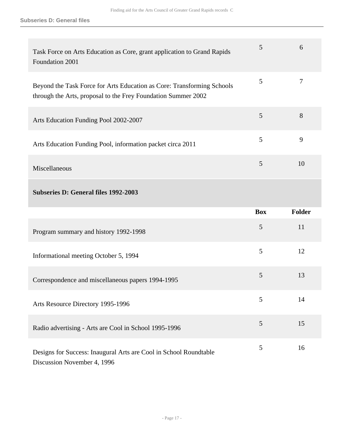| Task Force on Arts Education as Core, grant application to Grand Rapids<br>Foundation 2001                                              | 5          | 6      |
|-----------------------------------------------------------------------------------------------------------------------------------------|------------|--------|
| Beyond the Task Force for Arts Education as Core: Transforming Schools<br>through the Arts, proposal to the Frey Foundation Summer 2002 | 5          | $\tau$ |
| Arts Education Funding Pool 2002-2007                                                                                                   | 5          | 8      |
| Arts Education Funding Pool, information packet circa 2011                                                                              | 5          | 9      |
| Miscellaneous                                                                                                                           | 5          | 10     |
| <b>Subseries D: General files 1992-2003</b>                                                                                             |            |        |
|                                                                                                                                         |            |        |
|                                                                                                                                         | <b>Box</b> | Folder |
| Program summary and history 1992-1998                                                                                                   | 5          | 11     |
| Informational meeting October 5, 1994                                                                                                   | 5          | 12     |
| Correspondence and miscellaneous papers 1994-1995                                                                                       | 5          | 13     |
| Arts Resource Directory 1995-1996                                                                                                       | 5          | 14     |
| Radio advertising - Arts are Cool in School 1995-1996                                                                                   | 5          | 15     |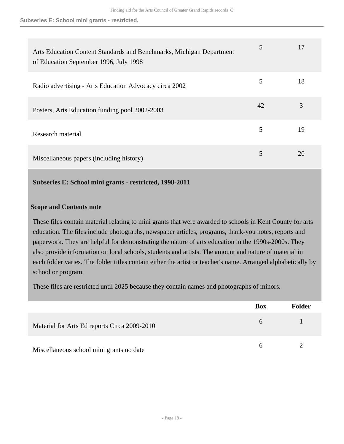| Arts Education Content Standards and Benchmarks, Michigan Department<br>of Education September 1996, July 1998 | 5  | 17 |
|----------------------------------------------------------------------------------------------------------------|----|----|
| Radio advertising - Arts Education Advocacy circa 2002                                                         | 5  | 18 |
| Posters, Arts Education funding pool 2002-2003                                                                 | 42 | 3  |
| Research material                                                                                              | 5  | 19 |
| Miscellaneous papers (including history)                                                                       | 5  | 20 |

#### **Subseries E: School mini grants - restricted, 1998-2011**

#### **Scope and Contents note**

These files contain material relating to mini grants that were awarded to schools in Kent County for arts education. The files include photographs, newspaper articles, programs, thank-you notes, reports and paperwork. They are helpful for demonstrating the nature of arts education in the 1990s-2000s. They also provide information on local schools, students and artists. The amount and nature of material in each folder varies. The folder titles contain either the artist or teacher's name. Arranged alphabetically by school or program.

These files are restricted until 2025 because they contain names and photographs of minors.

|                                              | <b>Box</b> | <b>Folder</b> |
|----------------------------------------------|------------|---------------|
| Material for Arts Ed reports Circa 2009-2010 | 6          |               |
| Miscellaneous school mini grants no date     |            |               |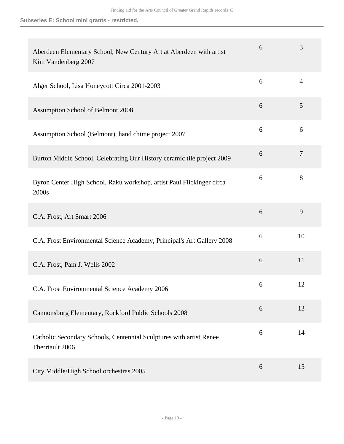| Aberdeen Elementary School, New Century Art at Aberdeen with artist<br>Kim Vandenberg 2007 | 6 | 3              |
|--------------------------------------------------------------------------------------------|---|----------------|
| Alger School, Lisa Honeycott Circa 2001-2003                                               | 6 | $\overline{4}$ |
| Assumption School of Belmont 2008                                                          | 6 | 5              |
| Assumption School (Belmont), hand chime project 2007                                       | 6 | 6              |
| Burton Middle School, Celebrating Our History ceramic tile project 2009                    | 6 | $\overline{7}$ |
| Byron Center High School, Raku workshop, artist Paul Flickinger circa<br>2000s             | 6 | 8              |
| C.A. Frost, Art Smart 2006                                                                 | 6 | 9              |
| C.A. Frost Environmental Science Academy, Principal's Art Gallery 2008                     | 6 | 10             |
| C.A. Frost, Pam J. Wells 2002                                                              | 6 | 11             |
| C.A. Frost Environmental Science Academy 2006                                              | 6 | 12             |
| Cannonsburg Elementary, Rockford Public Schools 2008                                       | 6 | 13             |
| Catholic Secondary Schools, Centennial Sculptures with artist Renee<br>Therriault 2006     | 6 | 14             |
| City Middle/High School orchestras 2005                                                    | 6 | 15             |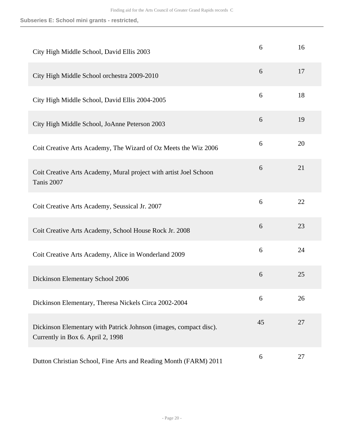| City High Middle School, David Ellis 2003                                                              | 6  | 16 |
|--------------------------------------------------------------------------------------------------------|----|----|
| City High Middle School orchestra 2009-2010                                                            | 6  | 17 |
| City High Middle School, David Ellis 2004-2005                                                         | 6  | 18 |
| City High Middle School, JoAnne Peterson 2003                                                          | 6  | 19 |
| Coit Creative Arts Academy, The Wizard of Oz Meets the Wiz 2006                                        | 6  | 20 |
| Coit Creative Arts Academy, Mural project with artist Joel Schoon<br>Tanis 2007                        | 6  | 21 |
| Coit Creative Arts Academy, Seussical Jr. 2007                                                         | 6  | 22 |
| Coit Creative Arts Academy, School House Rock Jr. 2008                                                 | 6  | 23 |
| Coit Creative Arts Academy, Alice in Wonderland 2009                                                   | 6  | 24 |
| Dickinson Elementary School 2006                                                                       | 6  | 25 |
| Dickinson Elementary, Theresa Nickels Circa 2002-2004                                                  | 6  | 26 |
| Dickinson Elementary with Patrick Johnson (images, compact disc).<br>Currently in Box 6. April 2, 1998 | 45 | 27 |
| Dutton Christian School, Fine Arts and Reading Month (FARM) 2011                                       | 6  | 27 |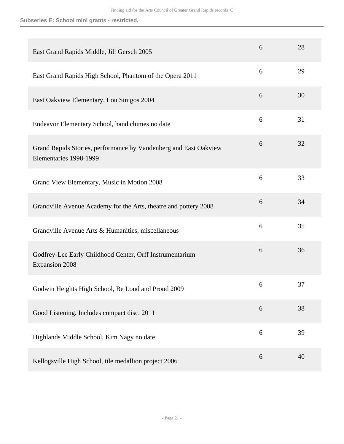| East Grand Rapids Middle, Jill Gersch 2005                                                 | 6 | 28 |
|--------------------------------------------------------------------------------------------|---|----|
| East Grand Rapids High School, Phantom of the Opera 2011                                   | 6 | 29 |
| East Oakview Elementary, Lou Sinigos 2004                                                  | 6 | 30 |
| Endeavor Elementary School, hand chimes no date                                            | 6 | 31 |
| Grand Rapids Stories, performance by Vandenberg and East Oakview<br>Elementaries 1998-1999 | 6 | 32 |
| Grand View Elementary, Music in Motion 2008                                                | 6 | 33 |
| Grandville Avenue Academy for the Arts, theatre and pottery 2008                           | 6 | 34 |
| Grandville Avenue Arts & Humanities, miscellaneous                                         | 6 | 35 |
| Godfrey-Lee Early Childhood Center, Orff Instrumentarium<br><b>Expansion 2008</b>          | 6 | 36 |
| Godwin Heights High School, Be Loud and Proud 2009                                         | 6 | 37 |
| Good Listening. Includes compact disc. 2011                                                | 6 | 38 |
| Highlands Middle School, Kim Nagy no date                                                  | 6 | 39 |
| Kellogsville High School, tile medallion project 2006                                      | 6 | 40 |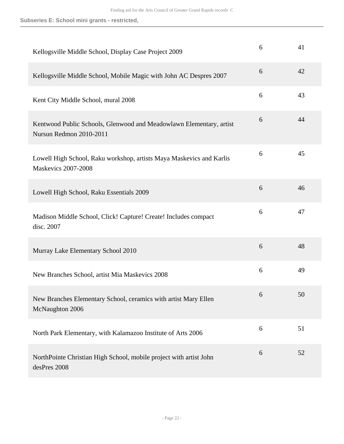| Kellogsville Middle School, Display Case Project 2009                                              | 6 | 41 |
|----------------------------------------------------------------------------------------------------|---|----|
| Kellogsville Middle School, Mobile Magic with John AC Despres 2007                                 | 6 | 42 |
| Kent City Middle School, mural 2008                                                                | 6 | 43 |
| Kentwood Public Schools, Glenwood and Meadowlawn Elementary, artist<br>Nursun Redmon 2010-2011     | 6 | 44 |
| Lowell High School, Raku workshop, artists Maya Maskevics and Karlis<br><b>Maskevics 2007-2008</b> | 6 | 45 |
| Lowell High School, Raku Essentials 2009                                                           | 6 | 46 |
| Madison Middle School, Click! Capture! Create! Includes compact<br>disc. 2007                      | 6 | 47 |
| Murray Lake Elementary School 2010                                                                 | 6 | 48 |
| New Branches School, artist Mia Maskevics 2008                                                     | 6 | 49 |
| New Branches Elementary School, ceramics with artist Mary Ellen<br>McNaughton 2006                 | 6 | 50 |
| North Park Elementary, with Kalamazoo Institute of Arts 2006                                       | 6 | 51 |
| NorthPointe Christian High School, mobile project with artist John<br>desPres 2008                 | 6 | 52 |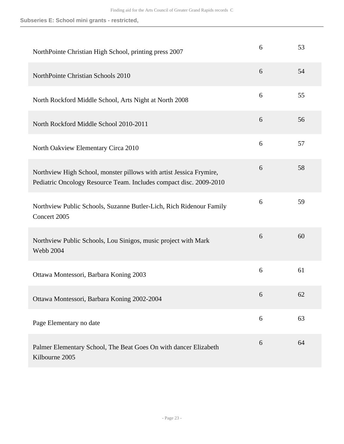| NorthPointe Christian High School, printing press 2007                                                                                    | 6 | 53 |
|-------------------------------------------------------------------------------------------------------------------------------------------|---|----|
| NorthPointe Christian Schools 2010                                                                                                        | 6 | 54 |
| North Rockford Middle School, Arts Night at North 2008                                                                                    | 6 | 55 |
| North Rockford Middle School 2010-2011                                                                                                    | 6 | 56 |
| North Oakview Elementary Circa 2010                                                                                                       | 6 | 57 |
| Northview High School, monster pillows with artist Jessica Frymire,<br>Pediatric Oncology Resource Team. Includes compact disc. 2009-2010 | 6 | 58 |
| Northview Public Schools, Suzanne Butler-Lich, Rich Ridenour Family<br>Concert 2005                                                       | 6 | 59 |
| Northview Public Schools, Lou Sinigos, music project with Mark<br><b>Webb 2004</b>                                                        | 6 | 60 |
| Ottawa Montessori, Barbara Koning 2003                                                                                                    | 6 | 61 |
| Ottawa Montessori, Barbara Koning 2002-2004                                                                                               | 6 | 62 |
| Page Elementary no date                                                                                                                   | 6 | 63 |
| Palmer Elementary School, The Beat Goes On with dancer Elizabeth<br>Kilbourne 2005                                                        | 6 | 64 |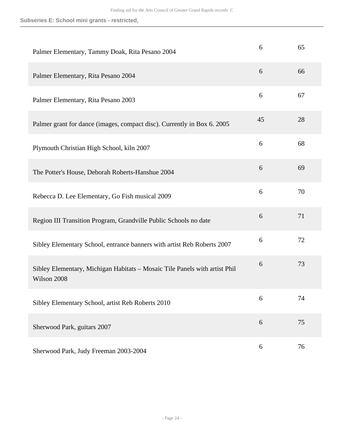| Palmer Elementary, Tammy Doak, Rita Pesano 2004                                           | 6  | 65 |
|-------------------------------------------------------------------------------------------|----|----|
| Palmer Elementary, Rita Pesano 2004                                                       | 6  | 66 |
| Palmer Elementary, Rita Pesano 2003                                                       | 6  | 67 |
| Palmer grant for dance (images, compact disc). Currently in Box 6. 2005                   | 45 | 28 |
| Plymouth Christian High School, kiln 2007                                                 | 6  | 68 |
| The Potter's House, Deborah Roberts-Hanshue 2004                                          | 6  | 69 |
| Rebecca D. Lee Elementary, Go Fish musical 2009                                           | 6  | 70 |
| Region III Transition Program, Grandville Public Schools no date                          | 6  | 71 |
| Sibley Elementary School, entrance banners with artist Reb Roberts 2007                   | 6  | 72 |
| Sibley Elementary, Michigan Habitats - Mosaic Tile Panels with artist Phil<br>Wilson 2008 | 6  | 73 |
| Sibley Elementary School, artist Reb Roberts 2010                                         | 6  | 74 |
| Sherwood Park, guitars 2007                                                               | 6  | 75 |
| Sherwood Park, Judy Freeman 2003-2004                                                     | 6  | 76 |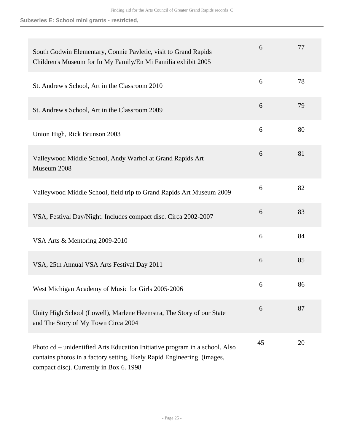| South Godwin Elementary, Connie Pavletic, visit to Grand Rapids<br>Children's Museum for In My Family/En Mi Familia exhibit 2005                                                                   | 6  | 77 |
|----------------------------------------------------------------------------------------------------------------------------------------------------------------------------------------------------|----|----|
| St. Andrew's School, Art in the Classroom 2010                                                                                                                                                     | 6  | 78 |
| St. Andrew's School, Art in the Classroom 2009                                                                                                                                                     | 6  | 79 |
| Union High, Rick Brunson 2003                                                                                                                                                                      | 6  | 80 |
| Valleywood Middle School, Andy Warhol at Grand Rapids Art<br>Museum 2008                                                                                                                           | 6  | 81 |
| Valleywood Middle School, field trip to Grand Rapids Art Museum 2009                                                                                                                               | 6  | 82 |
| VSA, Festival Day/Night. Includes compact disc. Circa 2002-2007                                                                                                                                    | 6  | 83 |
| VSA Arts & Mentoring 2009-2010                                                                                                                                                                     | 6  | 84 |
| VSA, 25th Annual VSA Arts Festival Day 2011                                                                                                                                                        | 6  | 85 |
| West Michigan Academy of Music for Girls 2005-2006                                                                                                                                                 | 6  | 86 |
| Unity High School (Lowell), Marlene Heemstra, The Story of our State<br>and The Story of My Town Circa 2004                                                                                        | 6  | 87 |
| Photo cd – unidentified Arts Education Initiative program in a school. Also<br>contains photos in a factory setting, likely Rapid Engineering. (images,<br>compact disc). Currently in Box 6. 1998 | 45 | 20 |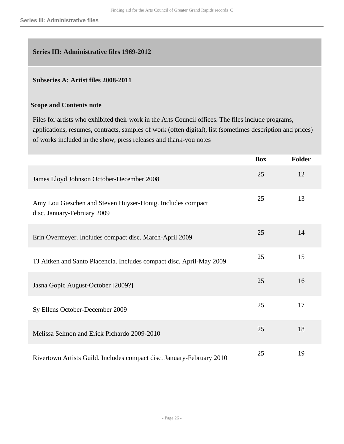# <span id="page-25-0"></span>**Series III: Administrative files 1969-2012**

#### **Subseries A: Artist files 2008-2011**

#### **Scope and Contents note**

Files for artists who exhibited their work in the Arts Council offices. The files include programs, applications, resumes, contracts, samples of work (often digital), list (sometimes description and prices) of works included in the show, press releases and thank-you notes

|                                                                                           | <b>Box</b> | <b>Folder</b> |
|-------------------------------------------------------------------------------------------|------------|---------------|
| James Lloyd Johnson October-December 2008                                                 | 25         | 12            |
| Amy Lou Gieschen and Steven Huyser-Honig. Includes compact<br>disc. January-February 2009 | 25         | 13            |
| Erin Overmeyer. Includes compact disc. March-April 2009                                   | 25         | 14            |
| TJ Aitken and Santo Placencia. Includes compact disc. April-May 2009                      | 25         | 15            |
| Jasna Gopic August-October [2009?]                                                        | 25         | 16            |
| Sy Ellens October-December 2009                                                           | 25         | 17            |
| Melissa Selmon and Erick Pichardo 2009-2010                                               | 25         | 18            |
| Rivertown Artists Guild. Includes compact disc. January-February 2010                     | 25         | 19            |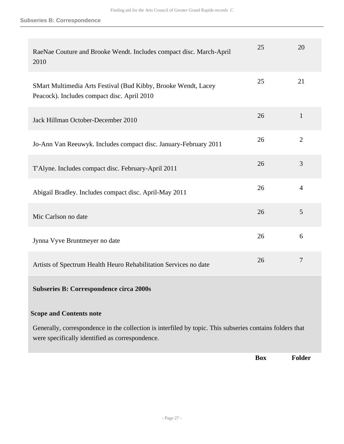#### **Subseries B: Correspondence**

| RaeNae Couture and Brooke Wendt. Includes compact disc. March-April<br>2010                                                                                 | 25 | 20             |
|-------------------------------------------------------------------------------------------------------------------------------------------------------------|----|----------------|
| SMart Multimedia Arts Festival (Bud Kibby, Brooke Wendt, Lacey<br>Peacock). Includes compact disc. April 2010                                               | 25 | 21             |
| Jack Hillman October-December 2010                                                                                                                          | 26 | $\mathbf{1}$   |
| Jo-Ann Van Reeuwyk. Includes compact disc. January-February 2011                                                                                            | 26 | $\overline{2}$ |
| T'Alyne. Includes compact disc. February-April 2011                                                                                                         | 26 | 3              |
| Abigail Bradley. Includes compact disc. April-May 2011                                                                                                      | 26 | $\overline{4}$ |
| Mic Carlson no date                                                                                                                                         | 26 | 5              |
| Jynna Vyve Bruntmeyer no date                                                                                                                               | 26 | 6              |
| Artists of Spectrum Health Heuro Rehabilitation Services no date                                                                                            | 26 | $\overline{7}$ |
| <b>Subseries B: Correspondence circa 2000s</b>                                                                                                              |    |                |
| <b>Scope and Contents note</b>                                                                                                                              |    |                |
| Generally, correspondence in the collection is interfiled by topic. This subseries contains folders that<br>were specifically identified as correspondence. |    |                |

**Box Folder**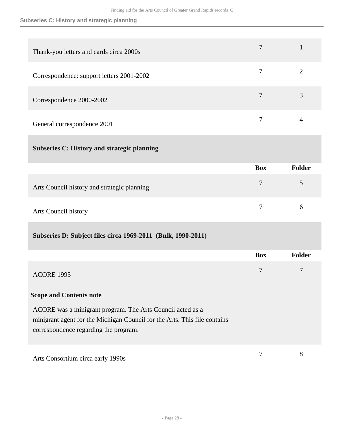### **Subseries C: History and strategic planning**

| Thank-you letters and cards circa 2000s   |  |
|-------------------------------------------|--|
| Correspondence: support letters 2001-2002 |  |
| Correspondence 2000-2002                  |  |
| General correspondence 2001               |  |

### **Subseries C: History and strategic planning**

|                                             | <b>Box</b> | Folder |
|---------------------------------------------|------------|--------|
| Arts Council history and strategic planning |            | 5      |
| Arts Council history                        |            | h      |

# **Subseries D: Subject files circa 1969-2011 (Bulk, 1990-2011)**

|                                                                                                                                                                                  | <b>Box</b> | <b>Folder</b> |
|----------------------------------------------------------------------------------------------------------------------------------------------------------------------------------|------------|---------------|
| <b>ACORE 1995</b>                                                                                                                                                                | 7          | 7             |
| <b>Scope and Contents note</b>                                                                                                                                                   |            |               |
| ACORE was a minigrant program. The Arts Council acted as a<br>minigrant agent for the Michigan Council for the Arts. This file contains<br>correspondence regarding the program. |            |               |
| Arts Consortium circa early 1990s                                                                                                                                                |            | 8             |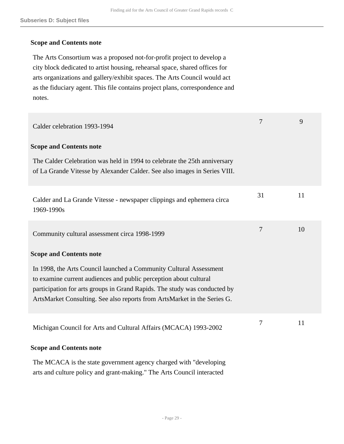#### **Scope and Contents note**

The Arts Consortium was a proposed not-for-profit project to develop a city block dedicated to artist housing, rehearsal space, shared offices for arts organizations and gallery/exhibit spaces. The Arts Council would act as the fiduciary agent. This file contains project plans, correspondence and notes.

| Calder celebration 1993-1994                                                                                                                                                                                                                                                                     | 7              | 9  |
|--------------------------------------------------------------------------------------------------------------------------------------------------------------------------------------------------------------------------------------------------------------------------------------------------|----------------|----|
| <b>Scope and Contents note</b>                                                                                                                                                                                                                                                                   |                |    |
| The Calder Celebration was held in 1994 to celebrate the 25th anniversary<br>of La Grande Vitesse by Alexander Calder. See also images in Series VIII.                                                                                                                                           |                |    |
| Calder and La Grande Vitesse - newspaper clippings and ephemera circa<br>1969-1990s                                                                                                                                                                                                              | 31             | 11 |
| Community cultural assessment circa 1998-1999                                                                                                                                                                                                                                                    | $\overline{7}$ | 10 |
| <b>Scope and Contents note</b>                                                                                                                                                                                                                                                                   |                |    |
| In 1998, the Arts Council launched a Community Cultural Assessment<br>to examine current audiences and public perception about cultural<br>participation for arts groups in Grand Rapids. The study was conducted by<br>ArtsMarket Consulting. See also reports from ArtsMarket in the Series G. |                |    |
| Michigan Council for Arts and Cultural Affairs (MCACA) 1993-2002                                                                                                                                                                                                                                 | 7              | 11 |
| <b>Scope and Contents note</b>                                                                                                                                                                                                                                                                   |                |    |
| The MCACA is the state government agency charged with "developing"<br>arts and culture policy and grant-making." The Arts Council interacted                                                                                                                                                     |                |    |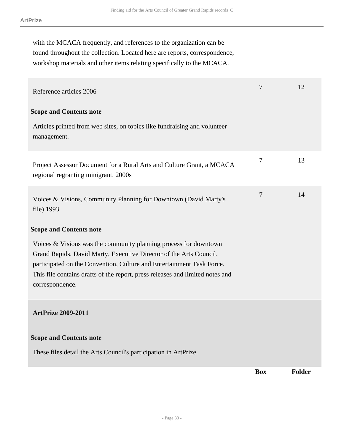with the MCACA frequently, and references to the organization can be found throughout the collection. Located here are reports, correspondence, workshop materials and other items relating specifically to the MCACA.

| Reference articles 2006                                                                                                                                                                                                                                                                                               | 7          | 12     |
|-----------------------------------------------------------------------------------------------------------------------------------------------------------------------------------------------------------------------------------------------------------------------------------------------------------------------|------------|--------|
| <b>Scope and Contents note</b><br>Articles printed from web sites, on topics like fundraising and volunteer<br>management.                                                                                                                                                                                            |            |        |
| Project Assessor Document for a Rural Arts and Culture Grant, a MCACA<br>regional regranting minigrant. 2000s                                                                                                                                                                                                         | 7          | 13     |
| Voices & Visions, Community Planning for Downtown (David Marty's<br>file) 1993                                                                                                                                                                                                                                        | 7          | 14     |
| <b>Scope and Contents note</b>                                                                                                                                                                                                                                                                                        |            |        |
| Voices $& Visions$ was the community planning process for downtown<br>Grand Rapids. David Marty, Executive Director of the Arts Council,<br>participated on the Convention, Culture and Entertainment Task Force.<br>This file contains drafts of the report, press releases and limited notes and<br>correspondence. |            |        |
| <b>ArtPrize 2009-2011</b>                                                                                                                                                                                                                                                                                             |            |        |
| <b>Scope and Contents note</b>                                                                                                                                                                                                                                                                                        |            |        |
| These files detail the Arts Council's participation in ArtPrize.                                                                                                                                                                                                                                                      |            |        |
|                                                                                                                                                                                                                                                                                                                       | <b>Box</b> | Folder |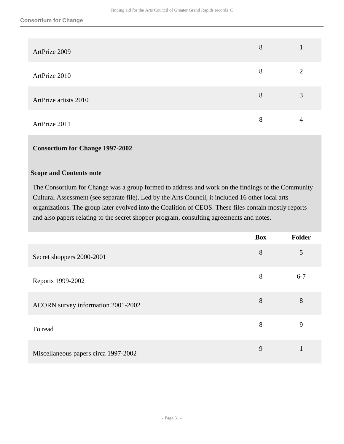| ArtPrize 2009         | 8 |   |
|-----------------------|---|---|
| ArtPrize 2010         | 8 | ∍ |
| ArtPrize artists 2010 | 8 | 3 |
| ArtPrize 2011         | 8 | 4 |

### **Consortium for Change 1997-2002**

#### **Scope and Contents note**

The Consortium for Change was a group formed to address and work on the findings of the Community Cultural Assessment (see separate file). Led by the Arts Council, it included 16 other local arts organizations. The group later evolved into the Coalition of CEOS. These files contain mostly reports and also papers relating to the secret shopper program, consulting agreements and notes.

|                                      | <b>Box</b> | <b>Folder</b> |
|--------------------------------------|------------|---------------|
| Secret shoppers 2000-2001            | 8          | 5             |
| Reports 1999-2002                    | 8          | $6 - 7$       |
| ACORN survey information 2001-2002   | 8          | 8             |
| To read                              | 8          | 9             |
| Miscellaneous papers circa 1997-2002 | 9          |               |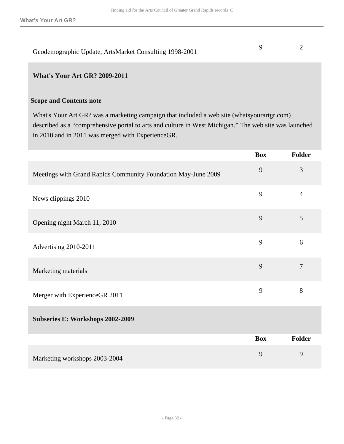| Geodemographic Update, ArtsMarket Consulting 1998-2001 |  |
|--------------------------------------------------------|--|

#### **What's Your Art GR? 2009-2011**

#### **Scope and Contents note**

What's Your Art GR? was a marketing campaign that included a web site (whatsyourartgr.com) described as a "comprehensive portal to arts and culture in West Michigan." The web site was launched in 2010 and in 2011 was merged with ExperienceGR.

|                                                               | <b>Box</b> | Folder         |
|---------------------------------------------------------------|------------|----------------|
| Meetings with Grand Rapids Community Foundation May-June 2009 | 9          | 3              |
| News clippings 2010                                           | 9          | $\overline{4}$ |
| Opening night March 11, 2010                                  | 9          | 5              |
| Advertising 2010-2011                                         | 9          | 6              |
| Marketing materials                                           | 9          | $\tau$         |
| Merger with ExperienceGR 2011                                 | 9          | 8              |
| Subseries E: Workshops 2002-2009                              |            |                |
|                                                               | <b>Box</b> | Folder         |
| Marketing workshops 2003-2004                                 | 9          | 9              |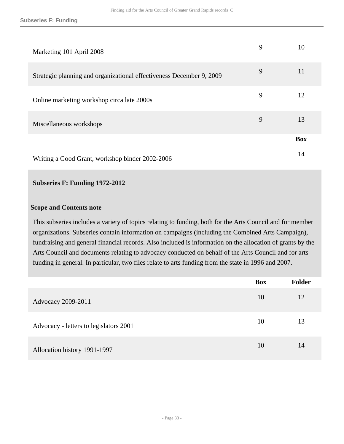| Marketing 101 April 2008                                             | 9 | 10         |
|----------------------------------------------------------------------|---|------------|
| Strategic planning and organizational effectiveness December 9, 2009 | 9 | 11         |
| Online marketing workshop circa late 2000s                           | 9 | 12         |
| Miscellaneous workshops                                              | 9 | 13         |
|                                                                      |   | <b>Box</b> |
| Writing a Good Grant, workshop binder 2002-2006                      |   | 14         |

#### **Subseries F: Funding 1972-2012**

#### **Scope and Contents note**

This subseries includes a variety of topics relating to funding, both for the Arts Council and for member organizations. Subseries contain information on campaigns (including the Combined Arts Campaign), fundraising and general financial records. Also included is information on the allocation of grants by the Arts Council and documents relating to advocacy conducted on behalf of the Arts Council and for arts funding in general. In particular, two files relate to arts funding from the state in 1996 and 2007.

|                                        | <b>Box</b> | <b>Folder</b> |
|----------------------------------------|------------|---------------|
| Advocacy 2009-2011                     | 10         | 12            |
| Advocacy - letters to legislators 2001 | 10         | 13            |
| Allocation history 1991-1997           | 10         | 14            |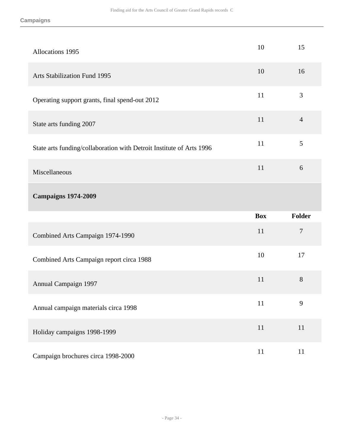| <b>Allocations 1995</b>                                              | 10         | 15             |
|----------------------------------------------------------------------|------------|----------------|
| <b>Arts Stabilization Fund 1995</b>                                  | 10         | 16             |
| Operating support grants, final spend-out 2012                       | 11         | 3              |
| State arts funding 2007                                              | 11         | $\overline{4}$ |
| State arts funding/collaboration with Detroit Institute of Arts 1996 | 11         | 5              |
| Miscellaneous                                                        | 11         | 6              |
| <b>Campaigns 1974-2009</b>                                           |            |                |
|                                                                      |            |                |
|                                                                      | <b>Box</b> | <b>Folder</b>  |
| Combined Arts Campaign 1974-1990                                     | 11         | $\tau$         |
| Combined Arts Campaign report circa 1988                             | 10         | 17             |
| <b>Annual Campaign 1997</b>                                          | 11         | 8              |
| Annual campaign materials circa 1998                                 | 11         | 9              |
| Holiday campaigns 1998-1999                                          | 11         | 11             |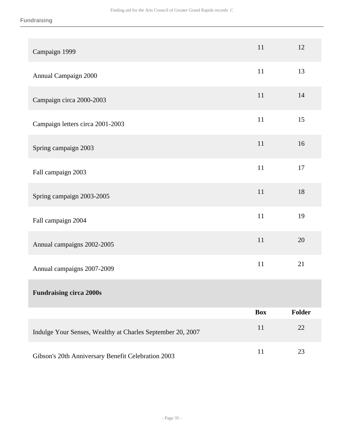| Campaign 1999                                              | 11         | 12     |
|------------------------------------------------------------|------------|--------|
| Annual Campaign 2000                                       | 11         | 13     |
| Campaign circa 2000-2003                                   | 11         | 14     |
| Campaign letters circa 2001-2003                           | 11         | 15     |
| Spring campaign 2003                                       | 11         | 16     |
| Fall campaign 2003                                         | 11         | 17     |
| Spring campaign 2003-2005                                  | 11         | 18     |
| Fall campaign 2004                                         | 11         | 19     |
| Annual campaigns 2002-2005                                 | 11         | 20     |
| Annual campaigns 2007-2009                                 | 11         | 21     |
| <b>Fundraising circa 2000s</b>                             |            |        |
|                                                            | <b>Box</b> | Folder |
| Indulge Your Senses, Wealthy at Charles September 20, 2007 | 11         | 22     |
| Gibson's 20th Anniversary Benefit Celebration 2003         | 11         | 23     |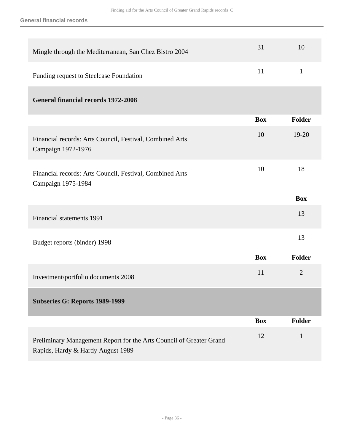**General financial records**

| Mingle through the Mediterranean, San Chez Bistro 2004                                                   | 31         | 10             |
|----------------------------------------------------------------------------------------------------------|------------|----------------|
| Funding request to Steelcase Foundation                                                                  | 11         | $\mathbf{1}$   |
| <b>General financial records 1972-2008</b>                                                               |            |                |
|                                                                                                          | <b>Box</b> | <b>Folder</b>  |
| Financial records: Arts Council, Festival, Combined Arts<br>Campaign 1972-1976                           | 10         | $19 - 20$      |
| Financial records: Arts Council, Festival, Combined Arts<br>Campaign 1975-1984                           | 10         | 18             |
|                                                                                                          |            | <b>Box</b>     |
| Financial statements 1991                                                                                |            | 13             |
| Budget reports (binder) 1998                                                                             |            | 13             |
|                                                                                                          | <b>Box</b> | <b>Folder</b>  |
| Investment/portfolio documents 2008                                                                      | 11         | $\overline{2}$ |
| Subseries G: Reports 1989-1999                                                                           |            |                |
|                                                                                                          | <b>Box</b> | <b>Folder</b>  |
| Preliminary Management Report for the Arts Council of Greater Grand<br>Rapids, Hardy & Hardy August 1989 | 12         | $\mathbf{1}$   |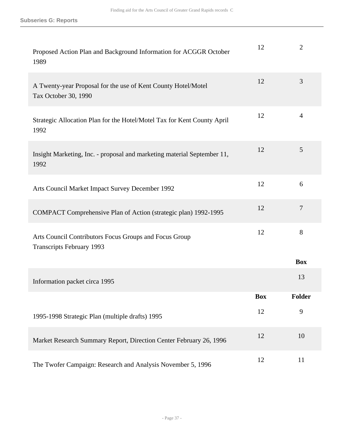| Proposed Action Plan and Background Information for ACGGR October<br>1989                  | 12         | $\overline{2}$ |
|--------------------------------------------------------------------------------------------|------------|----------------|
| A Twenty-year Proposal for the use of Kent County Hotel/Motel<br>Tax October 30, 1990      | 12         | 3              |
| Strategic Allocation Plan for the Hotel/Motel Tax for Kent County April<br>1992            | 12         | $\overline{4}$ |
| Insight Marketing, Inc. - proposal and marketing material September 11,<br>1992            | 12         | 5              |
| Arts Council Market Impact Survey December 1992                                            | 12         | 6              |
| COMPACT Comprehensive Plan of Action (strategic plan) 1992-1995                            | 12         | $\overline{7}$ |
| Arts Council Contributors Focus Groups and Focus Group<br><b>Transcripts February 1993</b> | 12         | 8              |
|                                                                                            |            | <b>Box</b>     |
| Information packet circa 1995                                                              |            | 13             |
|                                                                                            | <b>Box</b> | <b>Folder</b>  |
| 1995-1998 Strategic Plan (multiple drafts) 1995                                            | 12         | 9              |
| Market Research Summary Report, Direction Center February 26, 1996                         | 12         | 10             |
| The Twofer Campaign: Research and Analysis November 5, 1996                                | 12         | 11             |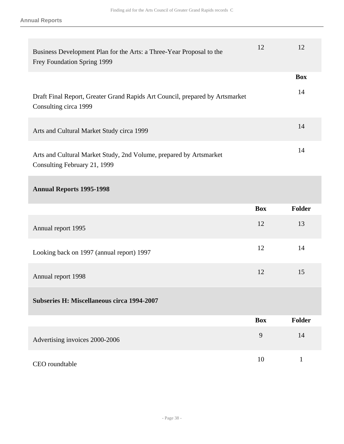| Business Development Plan for the Arts: a Three-Year Proposal to the<br>Frey Foundation Spring 1999   | 12         | 12               |
|-------------------------------------------------------------------------------------------------------|------------|------------------|
| Draft Final Report, Greater Grand Rapids Art Council, prepared by Artsmarket<br>Consulting circa 1999 |            | <b>Box</b><br>14 |
| Arts and Cultural Market Study circa 1999                                                             |            | 14               |
| Arts and Cultural Market Study, 2nd Volume, prepared by Artsmarket<br>Consulting February 21, 1999    |            | 14               |
| <b>Annual Reports 1995-1998</b>                                                                       |            |                  |
|                                                                                                       |            |                  |
|                                                                                                       | <b>Box</b> | <b>Folder</b>    |
| Annual report 1995                                                                                    | 12         | 13               |
| Looking back on 1997 (annual report) 1997                                                             | 12         | 14               |
| Annual report 1998                                                                                    | 12         | 15               |
| <b>Subseries H: Miscellaneous circa 1994-2007</b>                                                     |            |                  |
|                                                                                                       | <b>Box</b> | <b>Folder</b>    |
| Advertising invoices 2000-2006                                                                        | 9          | 14               |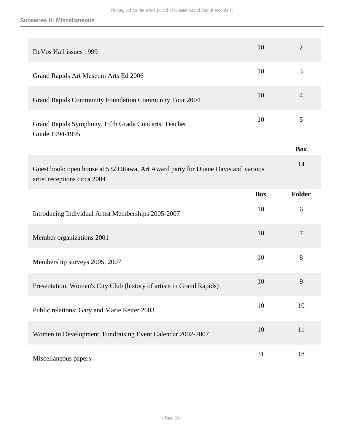| DeVos Hall issues 1999                                                                                            | 10         | $\overline{2}$ |
|-------------------------------------------------------------------------------------------------------------------|------------|----------------|
| Grand Rapids Art Museum Arts Ed 2006                                                                              | 10         | 3              |
| Grand Rapids Community Foundation Community Tour 2004                                                             | 10         | $\overline{4}$ |
| Grand Rapids Symphony, Fifth Grade Concerts, Teacher<br>Guide 1994-1995                                           | 10         | 5              |
|                                                                                                                   |            | <b>Box</b>     |
| Guest book: open house at 532 Ottawa, Art Award party for Duane Davis and various<br>artist receptions circa 2004 |            | 14             |
|                                                                                                                   | <b>Box</b> | <b>Folder</b>  |
| Introducing Individual Artist Memberships 2005-2007                                                               | 10         | 6              |
| Member organizations 2001                                                                                         | 10         | $\tau$         |
| Membership surveys 2005, 2007                                                                                     | 10         | 8              |
| Presentation: Women's City Club (history of artists in Grand Rapids)                                              | 10         | 9              |
| Public relations: Gary and Marie Reiter 2003                                                                      | 10         | 10             |
| Women in Development, Fundraising Event Calendar 2002-2007                                                        | 10         | 11             |
| Miscellaneous papers                                                                                              | 31         | 18             |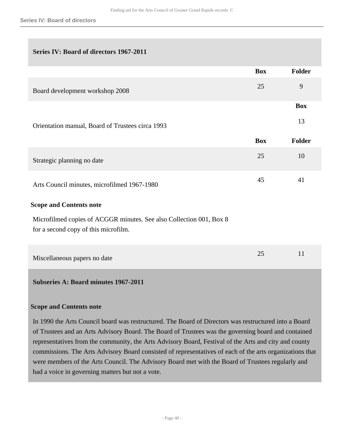## **Series IV: Board of directors 1967-2011**

|                                                                                                             | <b>Box</b> | <b>Folder</b> |
|-------------------------------------------------------------------------------------------------------------|------------|---------------|
| Board development workshop 2008                                                                             | 25         | 9             |
|                                                                                                             |            | <b>Box</b>    |
| Orientation manual, Board of Trustees circa 1993                                                            |            | 13            |
|                                                                                                             | <b>Box</b> | <b>Folder</b> |
| Strategic planning no date                                                                                  | 25         | 10            |
| Arts Council minutes, microfilmed 1967-1980                                                                 | 45         | 41            |
| <b>Scope and Contents note</b>                                                                              |            |               |
| Microfilmed copies of ACGGR minutes. See also Collection 001, Box 8<br>for a second copy of this microfilm. |            |               |
| Miscellaneous papers no date                                                                                | 25         | 11            |
| <b>Subseries A: Board minutes 1967-2011</b>                                                                 |            |               |
| <b>Scope and Contents note</b>                                                                              |            |               |

In 1990 the Arts Council board was restructured. The Board of Directors was restructured into a Board of Trustees and an Arts Advisory Board. The Board of Trustees was the governing board and contained representatives from the community, the Arts Advisory Board, Festival of the Arts and city and county commissions. The Arts Advisory Board consisted of representatives of each of the arts organizations that were members of the Arts Council. The Advisory Board met with the Board of Trustees regularly and had a voice in governing matters but not a vote.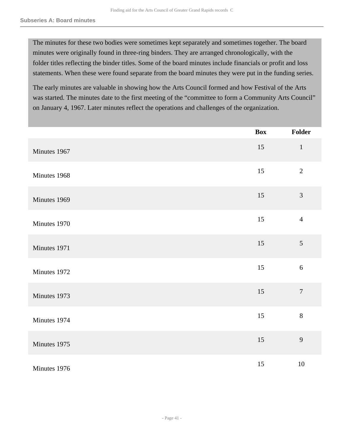The minutes for these two bodies were sometimes kept separately and sometimes together. The board minutes were originally found in three-ring binders. They are arranged chronologically, with the folder titles reflecting the binder titles. Some of the board minutes include financials or profit and loss statements. When these were found separate from the board minutes they were put in the funding series.

The early minutes are valuable in showing how the Arts Council formed and how Festival of the Arts was started. The minutes date to the first meeting of the "committee to form a Community Arts Council" on January 4, 1967. Later minutes reflect the operations and challenges of the organization.

|              | <b>Box</b> | Folder         |
|--------------|------------|----------------|
| Minutes 1967 | 15         | $\mathbf{1}$   |
| Minutes 1968 | 15         | $\overline{2}$ |
| Minutes 1969 | 15         | 3              |
| Minutes 1970 | 15         | $\overline{4}$ |
| Minutes 1971 | 15         | 5              |
| Minutes 1972 | 15         | $\sqrt{6}$     |
| Minutes 1973 | 15         | $\overline{7}$ |
| Minutes 1974 | 15         | $8\,$          |
| Minutes 1975 | 15         | 9              |
| Minutes 1976 | 15         | 10             |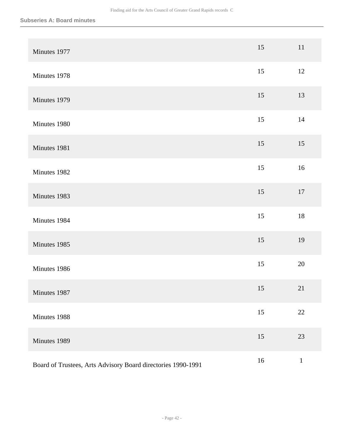| Minutes 1977                                                 | 15 | 11           |
|--------------------------------------------------------------|----|--------------|
| Minutes 1978                                                 | 15 | $12\,$       |
| Minutes 1979                                                 | 15 | 13           |
| Minutes 1980                                                 | 15 | $14$         |
| Minutes 1981                                                 | 15 | 15           |
| Minutes 1982                                                 | 15 | 16           |
| Minutes 1983                                                 | 15 | $17\,$       |
| Minutes 1984                                                 | 15 | $18\,$       |
| Minutes 1985                                                 | 15 | 19           |
| Minutes 1986                                                 | 15 | 20           |
| Minutes 1987                                                 | 15 | 21           |
| Minutes 1988                                                 | 15 | $22\,$       |
| Minutes 1989                                                 | 15 | 23           |
| Board of Trustees, Arts Advisory Board directories 1990-1991 | 16 | $\mathbf{1}$ |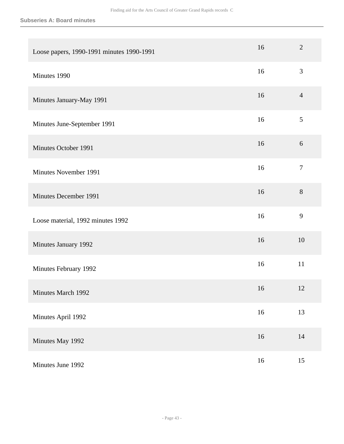| Loose papers, 1990-1991 minutes 1990-1991 | 16     | $\overline{2}$ |
|-------------------------------------------|--------|----------------|
| Minutes 1990                              | 16     | 3              |
| Minutes January-May 1991                  | 16     | $\overline{4}$ |
| Minutes June-September 1991               | 16     | $\mathfrak{S}$ |
| Minutes October 1991                      | 16     | 6              |
| Minutes November 1991                     | 16     | $\tau$         |
| Minutes December 1991                     | 16     | 8              |
| Loose material, 1992 minutes 1992         | 16     | 9              |
| Minutes January 1992                      | 16     | 10             |
| Minutes February 1992                     | 16     | 11             |
| Minutes March 1992                        | 16     | 12             |
| Minutes April 1992                        | 16     | 13             |
| Minutes May 1992                          | $16\,$ | 14             |
| Minutes June 1992                         | 16     | 15             |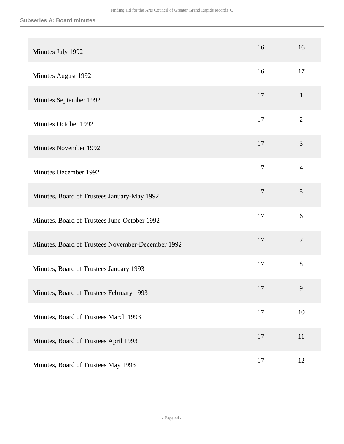| Minutes July 1992                                 | 16 | 16             |
|---------------------------------------------------|----|----------------|
| Minutes August 1992                               | 16 | 17             |
| Minutes September 1992                            | 17 | $\mathbf{1}$   |
| Minutes October 1992                              | 17 | $\overline{2}$ |
| <b>Minutes November 1992</b>                      | 17 | $\mathfrak{Z}$ |
| <b>Minutes December 1992</b>                      | 17 | $\overline{4}$ |
| Minutes, Board of Trustees January-May 1992       | 17 | 5              |
| Minutes, Board of Trustees June-October 1992      | 17 | 6              |
| Minutes, Board of Trustees November-December 1992 | 17 | $\overline{7}$ |
| Minutes, Board of Trustees January 1993           | 17 | 8              |
| Minutes, Board of Trustees February 1993          | 17 | 9              |
| Minutes, Board of Trustees March 1993             | 17 | 10             |
| Minutes, Board of Trustees April 1993             | 17 | 11             |
| Minutes, Board of Trustees May 1993               | 17 | 12             |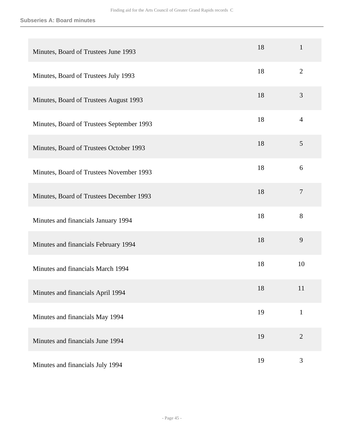#### **Subseries A: Board minutes**

| Minutes, Board of Trustees June 1993      | 18 | $\mathbf{1}$   |
|-------------------------------------------|----|----------------|
| Minutes, Board of Trustees July 1993      | 18 | $\overline{2}$ |
| Minutes, Board of Trustees August 1993    | 18 | 3              |
| Minutes, Board of Trustees September 1993 | 18 | $\overline{4}$ |
| Minutes, Board of Trustees October 1993   | 18 | 5              |
| Minutes, Board of Trustees November 1993  | 18 | 6              |
| Minutes, Board of Trustees December 1993  | 18 | $\overline{7}$ |
| Minutes and financials January 1994       | 18 | 8              |
| Minutes and financials February 1994      | 18 | 9              |
| Minutes and financials March 1994         | 18 | 10             |
| Minutes and financials April 1994         | 18 | 11             |
| Minutes and financials May 1994           | 19 | $\mathbf{1}$   |
| Minutes and financials June 1994          | 19 | $\overline{2}$ |
| Minutes and financials July 1994          | 19 | $\mathfrak{Z}$ |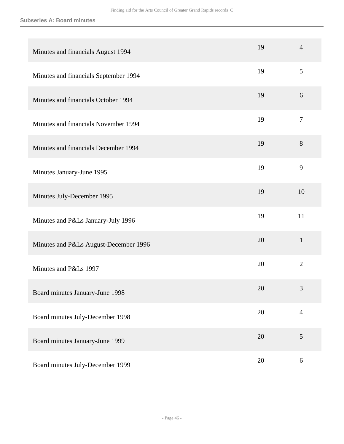#### **Subseries A: Board minutes**

| Minutes and financials August 1994    | 19 | $\overline{4}$   |
|---------------------------------------|----|------------------|
| Minutes and financials September 1994 | 19 | 5                |
| Minutes and financials October 1994   | 19 | 6                |
| Minutes and financials November 1994  | 19 | $\boldsymbol{7}$ |
| Minutes and financials December 1994  | 19 | 8                |
| Minutes January-June 1995             | 19 | 9                |
| Minutes July-December 1995            | 19 | 10               |
| Minutes and P&Ls January-July 1996    | 19 | 11               |
| Minutes and P&Ls August-December 1996 | 20 | $\mathbf{1}$     |
| Minutes and P&Ls 1997                 | 20 | $\overline{2}$   |
| Board minutes January-June 1998       | 20 | 3                |
| Board minutes July-December 1998      | 20 | $\overline{4}$   |
| Board minutes January-June 1999       | 20 | 5                |
| Board minutes July-December 1999      | 20 | $\boldsymbol{6}$ |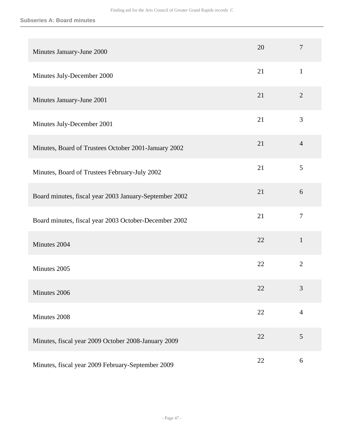| Minutes January-June 2000                              | 20 | $\overline{7}$ |
|--------------------------------------------------------|----|----------------|
| Minutes July-December 2000                             | 21 | $\mathbf{1}$   |
| Minutes January-June 2001                              | 21 | $\overline{2}$ |
| Minutes July-December 2001                             | 21 | $\mathfrak{Z}$ |
| Minutes, Board of Trustees October 2001-January 2002   | 21 | $\overline{4}$ |
| Minutes, Board of Trustees February-July 2002          | 21 | 5              |
| Board minutes, fiscal year 2003 January-September 2002 | 21 | 6              |
| Board minutes, fiscal year 2003 October-December 2002  | 21 | $\overline{7}$ |
| Minutes 2004                                           | 22 | $\mathbf{1}$   |
| Minutes 2005                                           | 22 | $\overline{2}$ |
| Minutes 2006                                           | 22 | 3              |
| Minutes 2008                                           | 22 | $\overline{4}$ |
| Minutes, fiscal year 2009 October 2008-January 2009    | 22 | 5              |
| Minutes, fiscal year 2009 February-September 2009      | 22 | $6\,$          |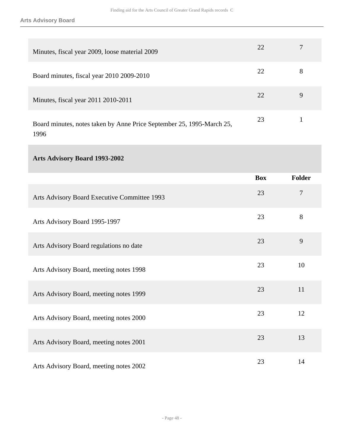| Minutes, fiscal year 2009, loose material 2009                                | 22 |   |
|-------------------------------------------------------------------------------|----|---|
| Board minutes, fiscal year 2010 2009-2010                                     | 22 | 8 |
| Minutes, fiscal year 2011 2010-2011                                           | 22 | 9 |
| Board minutes, notes taken by Anne Price September 25, 1995-March 25,<br>1996 | 23 |   |

# **Arts Advisory Board 1993-2002**

|                                              | <b>Box</b> | <b>Folder</b>  |
|----------------------------------------------|------------|----------------|
| Arts Advisory Board Executive Committee 1993 | 23         | $\overline{7}$ |
| Arts Advisory Board 1995-1997                | 23         | 8              |
| Arts Advisory Board regulations no date      | 23         | 9              |
| Arts Advisory Board, meeting notes 1998      | 23         | 10             |
| Arts Advisory Board, meeting notes 1999      | 23         | 11             |
| Arts Advisory Board, meeting notes 2000      | 23         | 12             |
| Arts Advisory Board, meeting notes 2001      | 23         | 13             |
| Arts Advisory Board, meeting notes 2002      | 23         | 14             |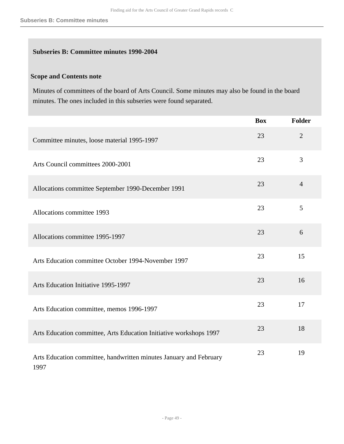## **Subseries B: Committee minutes 1990-2004**

## **Scope and Contents note**

Minutes of committees of the board of Arts Council. Some minutes may also be found in the board minutes. The ones included in this subseries were found separated.

|                                                                            | <b>Box</b> | Folder         |
|----------------------------------------------------------------------------|------------|----------------|
| Committee minutes, loose material 1995-1997                                | 23         | $\overline{2}$ |
| Arts Council committees 2000-2001                                          | 23         | 3              |
| Allocations committee September 1990-December 1991                         | 23         | $\overline{4}$ |
| Allocations committee 1993                                                 | 23         | 5              |
| Allocations committee 1995-1997                                            | 23         | 6              |
| Arts Education committee October 1994-November 1997                        | 23         | 15             |
| Arts Education Initiative 1995-1997                                        | 23         | 16             |
| Arts Education committee, memos 1996-1997                                  | 23         | 17             |
| Arts Education committee, Arts Education Initiative workshops 1997         | 23         | 18             |
| Arts Education committee, handwritten minutes January and February<br>1997 | 23         | 19             |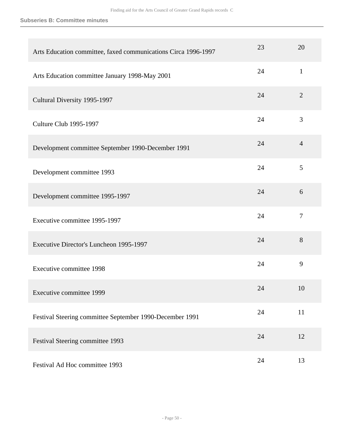**Subseries B: Committee minutes**

| Arts Education committee, faxed communications Circa 1996-1997 | 23 | 20             |
|----------------------------------------------------------------|----|----------------|
| Arts Education committee January 1998-May 2001                 | 24 | $\mathbf{1}$   |
| Cultural Diversity 1995-1997                                   | 24 | $\overline{2}$ |
| Culture Club 1995-1997                                         | 24 | 3              |
| Development committee September 1990-December 1991             | 24 | $\overline{4}$ |
| Development committee 1993                                     | 24 | 5              |
| Development committee 1995-1997                                | 24 | 6              |
| Executive committee 1995-1997                                  | 24 | $\overline{7}$ |
| Executive Director's Luncheon 1995-1997                        | 24 | 8              |
| <b>Executive committee 1998</b>                                | 24 | 9              |
| Executive committee 1999                                       | 24 | 10             |
| Festival Steering committee September 1990-December 1991       | 24 | $11\,$         |
| Festival Steering committee 1993                               | 24 | 12             |
| Festival Ad Hoc committee 1993                                 | 24 | 13             |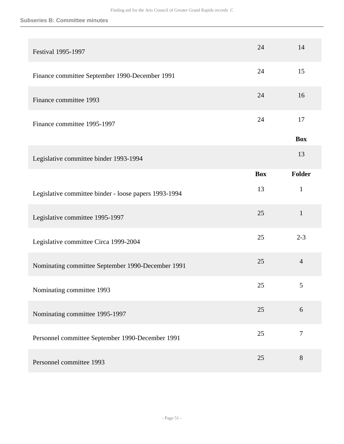#### **Subseries B: Committee minutes**

| <b>Festival 1995-1997</b>                             | 24         | 14               |
|-------------------------------------------------------|------------|------------------|
| Finance committee September 1990-December 1991        | 24         | 15               |
| Finance committee 1993                                | 24         | 16               |
| Finance committee 1995-1997                           | 24         | 17               |
|                                                       |            | <b>Box</b>       |
| Legislative committee binder 1993-1994                |            | 13               |
|                                                       | <b>Box</b> | <b>Folder</b>    |
| Legislative committee binder - loose papers 1993-1994 | 13         | $\mathbf{1}$     |
| Legislative committee 1995-1997                       | 25         | $\mathbf{1}$     |
| Legislative committee Circa 1999-2004                 | 25         | $2 - 3$          |
| Nominating committee September 1990-December 1991     | 25         | $\overline{4}$   |
| Nominating committee 1993                             | 25         | 5                |
| Nominating committee 1995-1997                        | 25         | 6                |
| Personnel committee September 1990-December 1991      | 25         | $\boldsymbol{7}$ |
| Personnel committee 1993                              | 25         | $8\phantom{1}$   |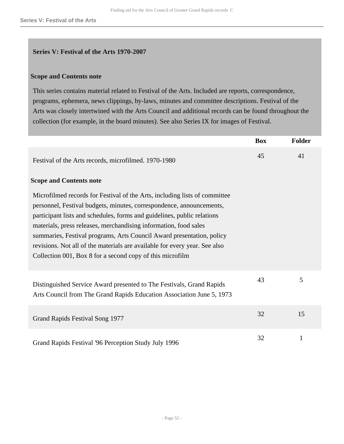#### **Series V: Festival of the Arts 1970-2007**

#### **Scope and Contents note**

This series contains material related to Festival of the Arts. Included are reports, correspondence, programs, ephemera, news clippings, by-laws, minutes and committee descriptions. Festival of the Arts was closely intertwined with the Arts Council and additional records can be found throughout the collection (for example, in the board minutes). See also Series IX for images of Festival.

|                                                                                                                                                                                                                                                                                                                                                                                                                                                                                                                       | <b>Box</b> | <b>Folder</b> |
|-----------------------------------------------------------------------------------------------------------------------------------------------------------------------------------------------------------------------------------------------------------------------------------------------------------------------------------------------------------------------------------------------------------------------------------------------------------------------------------------------------------------------|------------|---------------|
| Festival of the Arts records, microfilmed. 1970-1980                                                                                                                                                                                                                                                                                                                                                                                                                                                                  | 45         | 41            |
| <b>Scope and Contents note</b>                                                                                                                                                                                                                                                                                                                                                                                                                                                                                        |            |               |
| Microfilmed records for Festival of the Arts, including lists of committee<br>personnel, Festival budgets, minutes, correspondence, announcements,<br>participant lists and schedules, forms and guidelines, public relations<br>materials, press releases, merchandising information, food sales<br>summaries, Festival programs, Arts Council Award presentation, policy<br>revisions. Not all of the materials are available for every year. See also<br>Collection 001, Box 8 for a second copy of this microfilm |            |               |
| Distinguished Service Award presented to The Festivals, Grand Rapids<br>Arts Council from The Grand Rapids Education Association June 5, 1973                                                                                                                                                                                                                                                                                                                                                                         | 43         | 5             |
| Grand Rapids Festival Song 1977                                                                                                                                                                                                                                                                                                                                                                                                                                                                                       | 32         | 15            |
| Grand Rapids Festival '96 Perception Study July 1996                                                                                                                                                                                                                                                                                                                                                                                                                                                                  | 32         | 1             |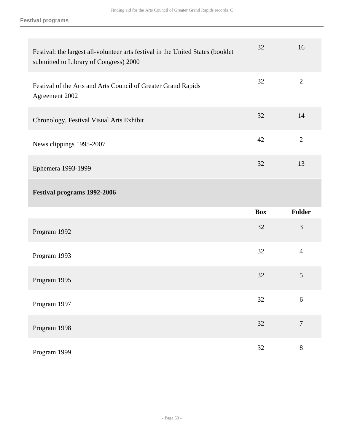| Festival: the largest all-volunteer arts festival in the United States (booklet<br>submitted to Library of Congress) 2000 | 32         | 16               |
|---------------------------------------------------------------------------------------------------------------------------|------------|------------------|
| Festival of the Arts and Arts Council of Greater Grand Rapids<br>Agreement 2002                                           | 32         | $\mathbf{2}$     |
| Chronology, Festival Visual Arts Exhibit                                                                                  | 32         | 14               |
| News clippings 1995-2007                                                                                                  | 42         | $\mathbf{2}$     |
| Ephemera 1993-1999                                                                                                        | 32         | 13               |
|                                                                                                                           |            |                  |
| <b>Festival programs 1992-2006</b>                                                                                        |            |                  |
|                                                                                                                           | <b>Box</b> | Folder           |
| Program 1992                                                                                                              | 32         | 3                |
| Program 1993                                                                                                              | 32         | $\overline{4}$   |
| Program 1995                                                                                                              | 32         | 5                |
| Program 1997                                                                                                              | 32         | $\boldsymbol{6}$ |
| Program 1998                                                                                                              | 32         | $\overline{7}$   |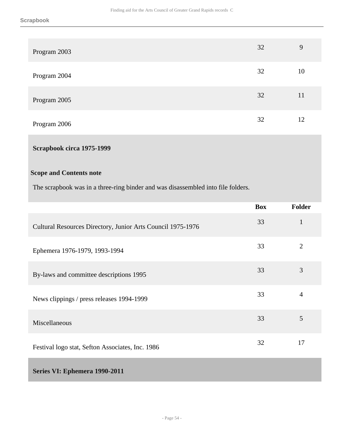| Program 2003 | 32 | 9  |
|--------------|----|----|
| Program 2004 | 32 | 10 |
| Program 2005 | 32 | 11 |
| Program 2006 | 32 | 12 |

## **Scrapbook circa 1975-1999**

## **Scope and Contents note**

The scrapbook was in a three-ring binder and was disassembled into file folders.

|                                                             | <b>Box</b> | <b>Folder</b>  |
|-------------------------------------------------------------|------------|----------------|
| Cultural Resources Directory, Junior Arts Council 1975-1976 | 33         | $\mathbf{1}$   |
| Ephemera 1976-1979, 1993-1994                               | 33         | $\overline{2}$ |
| By-laws and committee descriptions 1995                     | 33         | 3              |
| News clippings / press releases 1994-1999                   | 33         | $\overline{4}$ |
| Miscellaneous                                               | 33         | 5              |
| Festival logo stat, Sefton Associates, Inc. 1986            | 32         | 17             |
| Series VI. Enhamers 1000.2011                               |            |                |

## **Series VI: Ephemera 1990-2011**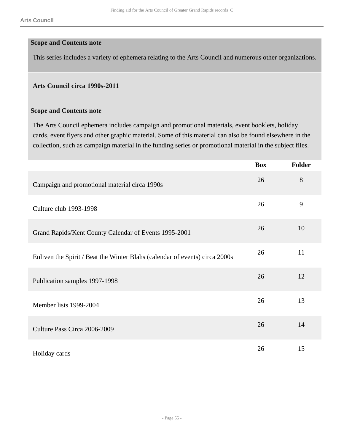#### **Scope and Contents note**

This series includes a variety of ephemera relating to the Arts Council and numerous other organizations.

#### **Arts Council circa 1990s-2011**

#### **Scope and Contents note**

The Arts Council ephemera includes campaign and promotional materials, event booklets, holiday cards, event flyers and other graphic material. Some of this material can also be found elsewhere in the collection, such as campaign material in the funding series or promotional material in the subject files.

|                                                                             | <b>Box</b> | <b>Folder</b> |
|-----------------------------------------------------------------------------|------------|---------------|
| Campaign and promotional material circa 1990s                               | 26         | 8             |
| Culture club 1993-1998                                                      | 26         | 9             |
| Grand Rapids/Kent County Calendar of Events 1995-2001                       | 26         | 10            |
| Enliven the Spirit / Beat the Winter Blahs (calendar of events) circa 2000s | 26         | 11            |
| Publication samples 1997-1998                                               | 26         | 12            |
| Member lists 1999-2004                                                      | 26         | 13            |
| Culture Pass Circa 2006-2009                                                | 26         | 14            |
| Holiday cards                                                               | 26         | 15            |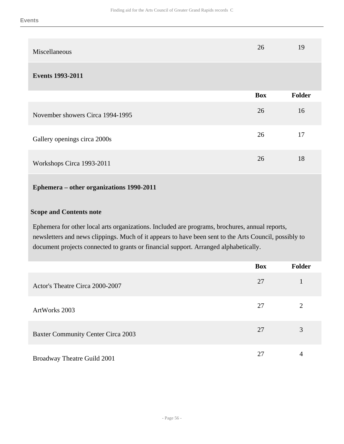| Miscellaneous |  | ΖU | 19 |
|---------------|--|----|----|
|               |  |    |    |

#### **Events 1993-2011**

|                                  | <b>Box</b> | Folder |
|----------------------------------|------------|--------|
| November showers Circa 1994-1995 | 26         | 16     |
| Gallery openings circa 2000s     | 26         | 17     |
| Workshops Circa 1993-2011        | 26         | 18     |

## **Ephemera – other organizations 1990-2011**

## **Scope and Contents note**

Ephemera for other local arts organizations. Included are programs, brochures, annual reports, newsletters and news clippings. Much of it appears to have been sent to the Arts Council, possibly to document projects connected to grants or financial support. Arranged alphabetically.

|                                           | <b>Box</b> | Folder |
|-------------------------------------------|------------|--------|
| Actor's Theatre Circa 2000-2007           | 27         |        |
| ArtWorks 2003                             | 27         | 2      |
| <b>Baxter Community Center Circa 2003</b> | 27         | 3      |
| Broadway Theatre Guild 2001               | 27         | 4      |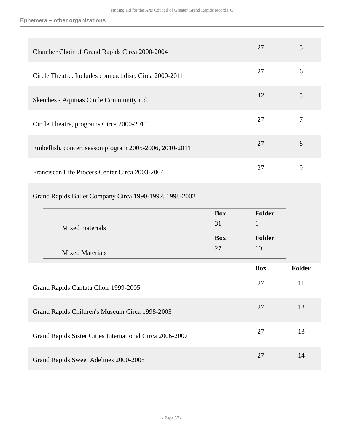| Chamber Choir of Grand Rapids Circa 2000-2004            |                  | 27                     | 5      |
|----------------------------------------------------------|------------------|------------------------|--------|
| Circle Theatre. Includes compact disc. Circa 2000-2011   |                  | 27                     | 6      |
| Sketches - Aquinas Circle Community n.d.                 |                  | 42                     | 5      |
| Circle Theatre, programs Circa 2000-2011                 |                  | 27                     | $\tau$ |
| Embellish, concert season program 2005-2006, 2010-2011   |                  | 27                     | 8      |
| Franciscan Life Process Center Circa 2003-2004           |                  | 27                     | 9      |
| Grand Rapids Ballet Company Circa 1990-1992, 1998-2002   |                  |                        |        |
|                                                          |                  |                        |        |
|                                                          | <b>Box</b><br>31 | Folder<br>$\mathbf{1}$ |        |
| Mixed materials                                          | <b>Box</b>       | Folder                 |        |
| <b>Mixed Materials</b>                                   | 27               | 10                     |        |
|                                                          |                  | <b>Box</b>             | Folder |
| Grand Rapids Cantata Choir 1999-2005                     |                  | 27                     | 11     |
| Grand Rapids Children's Museum Circa 1998-2003           |                  | 27                     | 12     |
| Grand Rapids Sister Cities International Circa 2006-2007 |                  | 27                     | 13     |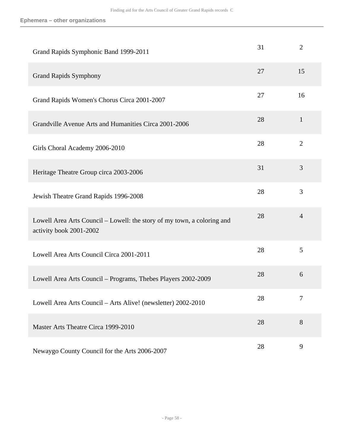| Grand Rapids Symphonic Band 1999-2011                                                              | 31 | 2              |
|----------------------------------------------------------------------------------------------------|----|----------------|
| <b>Grand Rapids Symphony</b>                                                                       | 27 | 15             |
| Grand Rapids Women's Chorus Circa 2001-2007                                                        | 27 | 16             |
| Grandville Avenue Arts and Humanities Circa 2001-2006                                              | 28 | $\mathbf{1}$   |
| Girls Choral Academy 2006-2010                                                                     | 28 | $\overline{2}$ |
| Heritage Theatre Group circa 2003-2006                                                             | 31 | 3              |
| Jewish Theatre Grand Rapids 1996-2008                                                              | 28 | 3              |
| Lowell Area Arts Council – Lowell: the story of my town, a coloring and<br>activity book 2001-2002 | 28 | $\overline{4}$ |
| Lowell Area Arts Council Circa 2001-2011                                                           | 28 | 5              |
| Lowell Area Arts Council – Programs, Thebes Players 2002-2009                                      | 28 | 6              |
| Lowell Area Arts Council – Arts Alive! (newsletter) 2002-2010                                      | 28 | 7              |
| Master Arts Theatre Circa 1999-2010                                                                | 28 | 8              |
| Newaygo County Council for the Arts 2006-2007                                                      | 28 | 9              |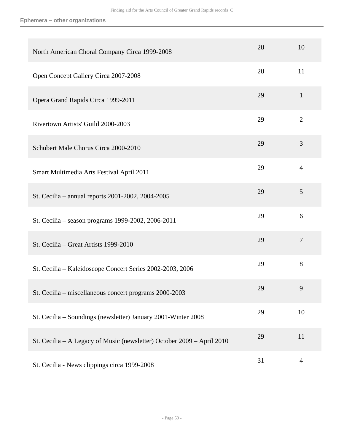| North American Choral Company Circa 1999-2008                          | 28 | 10             |
|------------------------------------------------------------------------|----|----------------|
| Open Concept Gallery Circa 2007-2008                                   | 28 | 11             |
| Opera Grand Rapids Circa 1999-2011                                     | 29 | $\mathbf{1}$   |
| Rivertown Artists' Guild 2000-2003                                     | 29 | $\overline{2}$ |
| Schubert Male Chorus Circa 2000-2010                                   | 29 | $\overline{3}$ |
| Smart Multimedia Arts Festival April 2011                              | 29 | $\overline{4}$ |
| St. Cecilia – annual reports 2001-2002, 2004-2005                      | 29 | 5              |
| St. Cecilia – season programs 1999-2002, 2006-2011                     | 29 | 6              |
| St. Cecilia – Great Artists 1999-2010                                  | 29 | $\overline{7}$ |
| St. Cecilia - Kaleidoscope Concert Series 2002-2003, 2006              | 29 | 8              |
| St. Cecilia - miscellaneous concert programs 2000-2003                 | 29 | 9              |
| St. Cecilia - Soundings (newsletter) January 2001-Winter 2008          | 29 | 10             |
| St. Cecilia - A Legacy of Music (newsletter) October 2009 - April 2010 | 29 | 11             |
| St. Cecilia - News clippings circa 1999-2008                           | 31 | $\overline{4}$ |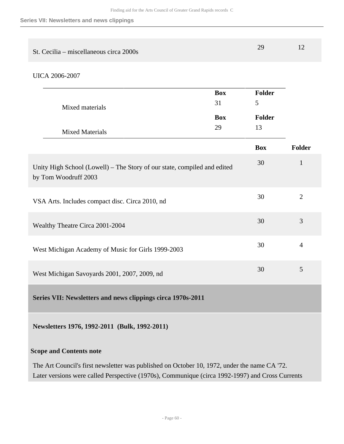| St. Cecilia – miscellaneous circa 2000s |  |
|-----------------------------------------|--|
|                                         |  |

```
UICA 2006-2007
```

| Mixed materials                                                                                  | <b>Box</b><br>31 | <b>Folder</b><br>5  |                |
|--------------------------------------------------------------------------------------------------|------------------|---------------------|----------------|
|                                                                                                  | <b>Box</b><br>29 | <b>Folder</b><br>13 |                |
| <b>Mixed Materials</b>                                                                           |                  |                     |                |
|                                                                                                  |                  | <b>Box</b>          | <b>Folder</b>  |
| Unity High School (Lowell) - The Story of our state, compiled and edited<br>by Tom Woodruff 2003 |                  | 30                  | $\mathbf{1}$   |
| VSA Arts. Includes compact disc. Circa 2010, nd                                                  |                  | 30                  | $\overline{2}$ |
| Wealthy Theatre Circa 2001-2004                                                                  |                  | 30                  | 3              |
| West Michigan Academy of Music for Girls 1999-2003                                               |                  | 30                  | $\overline{4}$ |
| West Michigan Savoyards 2001, 2007, 2009, nd                                                     |                  | 30                  | 5              |
| Series VII: Newsletters and news clippings circa 1970s-2011                                      |                  |                     |                |
|                                                                                                  |                  |                     |                |

**Newsletters 1976, 1992-2011 (Bulk, 1992-2011)**

## **Scope and Contents note**

The Art Council's first newsletter was published on October 10, 1972, under the name CA '72. Later versions were called Perspective (1970s), Communique (circa 1992-1997) and Cross Currents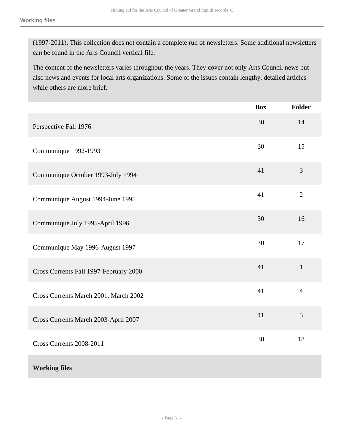(1997-2011). This collection does not contain a complete run of newsletters. Some additional newsletters can be found in the Arts Council vertical file.

The content of the newsletters varies throughout the years. They cover not only Arts Council news but also news and events for local arts organizations. Some of the issues contain lengthy, detailed articles while others are more brief.

|                                        | <b>Box</b> | <b>Folder</b>  |
|----------------------------------------|------------|----------------|
| Perspective Fall 1976                  | 30         | 14             |
| Communique 1992-1993                   | 30         | 15             |
| Communique October 1993-July 1994      | 41         | 3              |
| Communique August 1994-June 1995       | 41         | $\overline{2}$ |
| Communique July 1995-April 1996        | 30         | 16             |
| Communique May 1996-August 1997        | 30         | 17             |
| Cross Currents Fall 1997-February 2000 | 41         | $\mathbf{1}$   |
| Cross Currents March 2001, March 2002  | 41         | $\overline{4}$ |
| Cross Currents March 2003-April 2007   | 41         | 5              |
| Cross Currents 2008-2011               | 30         | 18             |
| <b>Working files</b>                   |            |                |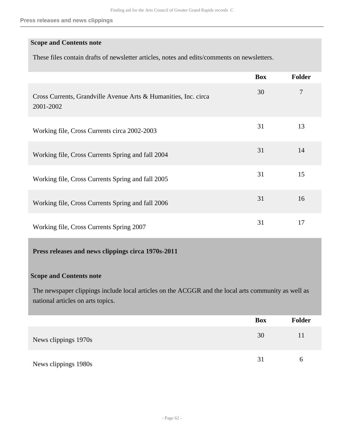## **Scope and Contents note**

These files contain drafts of newsletter articles, notes and edits/comments on newsletters.

|                                                                              | <b>Box</b> | <b>Folder</b> |
|------------------------------------------------------------------------------|------------|---------------|
| Cross Currents, Grandville Avenue Arts & Humanities, Inc. circa<br>2001-2002 | 30         | 7             |
| Working file, Cross Currents circa 2002-2003                                 | 31         | 13            |
| Working file, Cross Currents Spring and fall 2004                            | 31         | 14            |
| Working file, Cross Currents Spring and fall 2005                            | 31         | 15            |
| Working file, Cross Currents Spring and fall 2006                            | 31         | 16            |
| Working file, Cross Currents Spring 2007                                     | 31         | 17            |

## **Press releases and news clippings circa 1970s-2011**

#### **Scope and Contents note**

The newspaper clippings include local articles on the ACGGR and the local arts community as well as national articles on arts topics.

|                      | <b>Box</b> | Folder |
|----------------------|------------|--------|
| News clippings 1970s | 30         | 11     |
| News clippings 1980s | 31         | 6      |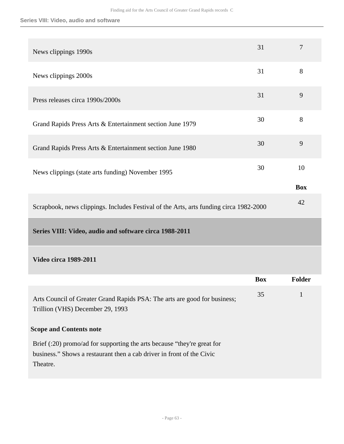## **Series VIII: Video, audio and software**

| News clippings 1990s                                                                                                                                         | 31         | 7          |
|--------------------------------------------------------------------------------------------------------------------------------------------------------------|------------|------------|
| News clippings 2000s                                                                                                                                         | 31         | 8          |
| Press releases circa 1990s/2000s                                                                                                                             | 31         | 9          |
| Grand Rapids Press Arts & Entertainment section June 1979                                                                                                    | 30         | 8          |
| Grand Rapids Press Arts & Entertainment section June 1980                                                                                                    | 30         | 9          |
| News clippings (state arts funding) November 1995                                                                                                            | 30         | 10         |
|                                                                                                                                                              |            | <b>Box</b> |
| Scrapbook, news clippings. Includes Festival of the Arts, arts funding circa 1982-2000                                                                       |            | 42         |
| Series VIII: Video, audio and software circa 1988-2011                                                                                                       |            |            |
| <b>Video circa 1989-2011</b>                                                                                                                                 |            |            |
|                                                                                                                                                              | <b>Box</b> | Folder     |
| Arts Council of Greater Grand Rapids PSA: The arts are good for business;<br>Trillion (VHS) December 29, 1993                                                | 35         | 1          |
| <b>Scope and Contents note</b>                                                                                                                               |            |            |
| Brief (:20) promo/ad for supporting the arts because "they're great for<br>business." Shows a restaurant then a cab driver in front of the Civic<br>Theatre. |            |            |
|                                                                                                                                                              |            |            |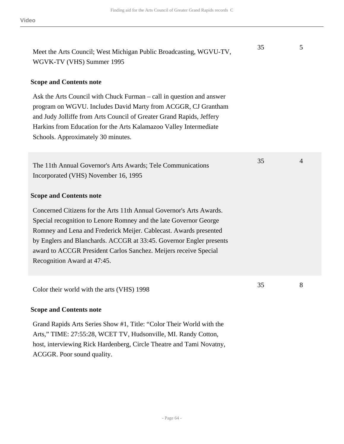Meet the Arts Council; West Michigan Public Broadcasting, WGVU-TV, WGVK-TV (VHS) Summer 1995

### **Scope and Contents note**

Ask the Arts Council with Chuck Furman – call in question and answer program on WGVU. Includes David Marty from ACGGR, CJ Grantham and Judy Jolliffe from Arts Council of Greater Grand Rapids, Jeffery Harkins from Education for the Arts Kalamazoo Valley Intermediate Schools. Approximately 30 minutes.

The 11th Annual Governor's Arts Awards; Tele Communications Incorporated (VHS) November 16, 1995

#### **Scope and Contents note**

Concerned Citizens for the Arts 11th Annual Governor's Arts Awards. Special recognition to Lenore Romney and the late Governor George Romney and Lena and Frederick Meijer. Cablecast. Awards presented by Englers and Blanchards. ACCGR at 33:45. Governor Engler presents award to ACCGR President Carlos Sanchez. Meijers receive Special Recognition Award at 47:45.

Color their world with the arts (VHS) 1998

#### **Scope and Contents note**

Grand Rapids Arts Series Show #1, Title: "Color Their World with the Arts," TIME: 27:55:28, WCET TV, Hudsonville, MI. Randy Cotton, host, interviewing Rick Hardenberg, Circle Theatre and Tami Novatny, ACGGR. Poor sound quality.

35 4

35 5

35 8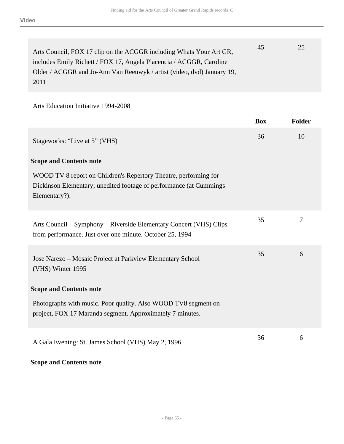| Arts Council, FOX 17 clip on the ACGGR including Whats Your Art GR,    | 45 | 25 |
|------------------------------------------------------------------------|----|----|
| includes Emily Richett / FOX 17, Angela Placencia / ACGGR, Caroline    |    |    |
| Older / ACGGR and Jo-Ann Van Reeuwyk / artist (video, dvd) January 19, |    |    |
| 2011                                                                   |    |    |

Arts Education Initiative 1994-2008

|                                                                                                                                                         | <b>Box</b> | <b>Folder</b> |
|---------------------------------------------------------------------------------------------------------------------------------------------------------|------------|---------------|
| Stageworks: "Live at 5" (VHS)                                                                                                                           | 36         | 10            |
| <b>Scope and Contents note</b>                                                                                                                          |            |               |
| WOOD TV 8 report on Children's Repertory Theatre, performing for<br>Dickinson Elementary; unedited footage of performance (at Cummings<br>Elementary?). |            |               |
| Arts Council – Symphony – Riverside Elementary Concert (VHS) Clips<br>from performance. Just over one minute. October 25, 1994                          | 35         | 7             |
| Jose Narezo – Mosaic Project at Parkview Elementary School<br>(VHS) Winter 1995                                                                         | 35         | 6             |
| <b>Scope and Contents note</b>                                                                                                                          |            |               |
| Photographs with music. Poor quality. Also WOOD TV8 segment on<br>project, FOX 17 Maranda segment. Approximately 7 minutes.                             |            |               |
| A Gala Evening: St. James School (VHS) May 2, 1996                                                                                                      | 36         | 6             |

## **Scope and Contents note**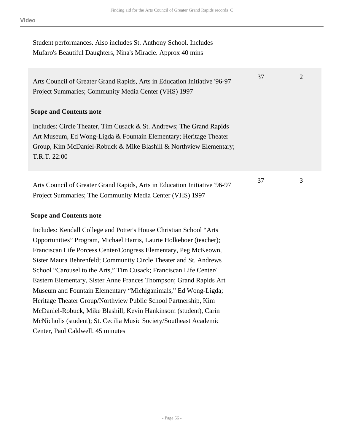Student performances. Also includes St. Anthony School. Includes Mufaro's Beautiful Daughters, Nina's Miracle. Approx 40 mins

Arts Council of Greater Grand Rapids, Arts in Education Initiative '96-97 Project Summaries; Community Media Center (VHS) 1997

## **Scope and Contents note**

Includes: Circle Theater, Tim Cusack & St. Andrews; The Grand Rapids Art Museum, Ed Wong-Ligda & Fountain Elementary; Heritage Theater Group, Kim McDaniel-Robuck & Mike Blashill & Northview Elementary; T.R.T. 22:00

Arts Council of Greater Grand Rapids, Arts in Education Initiative '96-97 Project Summaries; The Community Media Center (VHS) 1997

## **Scope and Contents note**

Includes: Kendall College and Potter's House Christian School "Arts Opportunities" Program, Michael Harris, Laurie Holkeboer (teacher); Franciscan Life Porcess Center/Congress Elementary, Peg McKeown, Sister Maura Behrenfeld; Community Circle Theater and St. Andrews School "Carousel to the Arts," Tim Cusack; Franciscan Life Center/ Eastern Elementary, Sister Anne Frances Thompson; Grand Rapids Art Museum and Fountain Elementary "Michiganimals," Ed Wong-Ligda; Heritage Theater Group/Northview Public School Partnership, Kim McDaniel-Robuck, Mike Blashill, Kevin Hankinsom (student), Carin McNicholis (student); St. Cecilia Music Society/Southeast Academic Center, Paul Caldwell. 45 minutes

37 2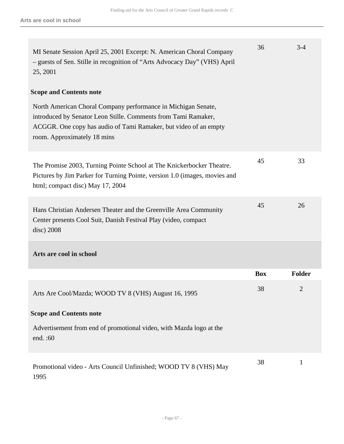| MI Senate Session April 25, 2001 Excerpt: N. American Choral Company<br>- guests of Sen. Stille in recognition of "Arts Advocacy Day" (VHS) April<br>25, 2001                                                                      | 36         | $3 - 4$        |
|------------------------------------------------------------------------------------------------------------------------------------------------------------------------------------------------------------------------------------|------------|----------------|
| <b>Scope and Contents note</b>                                                                                                                                                                                                     |            |                |
| North American Choral Company performance in Michigan Senate,<br>introduced by Senator Leon Stille. Comments from Tami Ramaker,<br>ACGGR. One copy has audio of Tami Ramaker, but video of an empty<br>room. Approximately 18 mins |            |                |
| The Promise 2003, Turning Pointe School at The Knickerbocker Theatre.<br>Pictures by Jim Parker for Turning Pointe, version 1.0 (images, movies and<br>html; compact disc) May 17, 2004                                            | 45         | 33             |
| Hans Christian Andersen Theater and the Greenville Area Community<br>Center presents Cool Suit, Danish Festival Play (video, compact<br>$disc)$ 2008                                                                               | 45         | 26             |
| Arts are cool in school                                                                                                                                                                                                            |            |                |
|                                                                                                                                                                                                                                    | <b>Box</b> | <b>Folder</b>  |
| Arts Are Cool/Mazda; WOOD TV 8 (VHS) August 16, 1995                                                                                                                                                                               | 38         | $\overline{c}$ |
| <b>Scope and Contents note</b>                                                                                                                                                                                                     |            |                |
| Advertisement from end of promotional video, with Mazda logo at the<br>end.:60                                                                                                                                                     |            |                |
| Promotional video - Arts Council Unfinished; WOOD TV 8 (VHS) May<br>1995                                                                                                                                                           | 38         | $\mathbf{1}$   |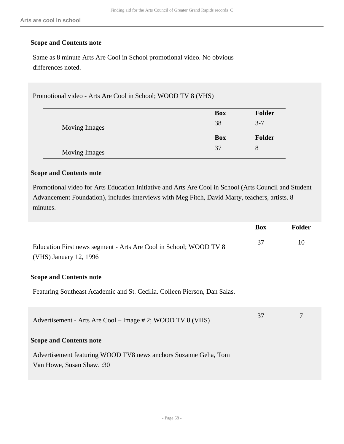### **Scope and Contents note**

Same as 8 minute Arts Are Cool in School promotional video. No obvious differences noted.

Promotional video - Arts Are Cool in School; WOOD TV 8 (VHS)

|                      | <b>Box</b> | Folder        |
|----------------------|------------|---------------|
| <b>Moving Images</b> | 38         | $3 - 7$       |
|                      | <b>Box</b> | <b>Folder</b> |
|                      |            |               |

## **Scope and Contents note**

Promotional video for Arts Education Initiative and Arts Are Cool in School (Arts Council and Student Advancement Foundation), includes interviews with Meg Fitch, David Marty, teachers, artists. 8 minutes.

|                                                                                              | <b>Box</b> | <b>Folder</b> |
|----------------------------------------------------------------------------------------------|------------|---------------|
| Education First news segment - Arts Are Cool in School; WOOD TV 8<br>(VHS) January 12, 1996  | 37         | 10            |
| <b>Scope and Contents note</b>                                                               |            |               |
| Featuring Southeast Academic and St. Cecilia. Colleen Pierson, Dan Salas.                    |            |               |
| Advertisement - Arts Are Cool – Image # 2; WOOD TV 8 (VHS)                                   | 37         | 7             |
| <b>Scope and Contents note</b>                                                               |            |               |
| Advertisement featuring WOOD TV8 news anchors Suzanne Geha, Tom<br>Van Howe, Susan Shaw.: 30 |            |               |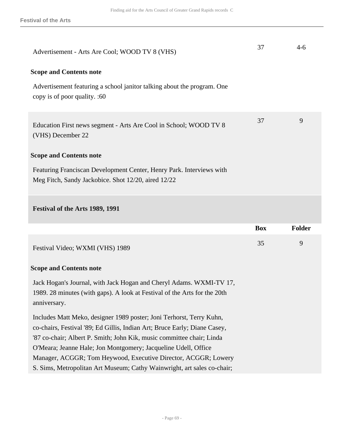| Advertisement - Arts Are Cool; WOOD TV 8 (VHS)                                                                                                                   | 37         | $4-6$         |
|------------------------------------------------------------------------------------------------------------------------------------------------------------------|------------|---------------|
| <b>Scope and Contents note</b>                                                                                                                                   |            |               |
| Advertisement featuring a school janitor talking about the program. One<br>copy is of poor quality. :60                                                          |            |               |
| Education First news segment - Arts Are Cool in School; WOOD TV 8<br>(VHS) December 22                                                                           | 37         | 9             |
| <b>Scope and Contents note</b>                                                                                                                                   |            |               |
| Featuring Franciscan Development Center, Henry Park. Interviews with<br>Meg Fitch, Sandy Jackobice. Shot 12/20, aired 12/22                                      |            |               |
|                                                                                                                                                                  |            |               |
| Festival of the Arts 1989, 1991                                                                                                                                  |            |               |
|                                                                                                                                                                  | <b>Box</b> | <b>Folder</b> |
| Festival Video; WXMI (VHS) 1989                                                                                                                                  | 35         | 9             |
| <b>Scope and Contents note</b>                                                                                                                                   |            |               |
| Jack Hogan's Journal, with Jack Hogan and Cheryl Adams. WXMI-TV 17,<br>1989. 28 minutes (with gaps). A look at Festival of the Arts for the 20th<br>anniversary. |            |               |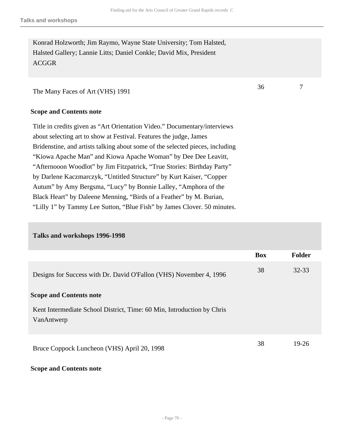36 7

Konrad Holzworth; Jim Raymo, Wayne State University; Tom Halsted, Halsted Gallery; Lannie Litts; Daniel Conkle; David Mix, President ACGGR

The Many Faces of Art (VHS) 1991

#### **Scope and Contents note**

Title in credits given as "Art Orientation Video." Documentary/interviews about selecting art to show at Festival. Features the judge, James Bridenstine, and artists talking about some of the selected pieces, including "Kiowa Apache Man" and Kiowa Apache Woman" by Dee Dee Leavitt, "Afternooon Woodlot" by Jim Fitzpatrick, "True Stories: Birthday Party" by Darlene Kaczmarczyk, "Untitled Structure" by Kurt Kaiser, "Copper Autum" by Amy Bergsma, "Lucy" by Bonnie Lalley, "Amphora of the Black Heart" by Daleene Menning, "Birds of a Feather" by M. Burian, "Lilly 1" by Tammy Lee Sutton, "Blue Fish" by James Clover. 50 minutes.

#### **Talks and workshops 1996-1998**

|                                                                                      | <b>Box</b> | <b>Folder</b> |
|--------------------------------------------------------------------------------------|------------|---------------|
| Designs for Success with Dr. David O'Fallon (VHS) November 4, 1996                   | 38         | $32 - 33$     |
| <b>Scope and Contents note</b>                                                       |            |               |
| Kent Intermediate School District, Time: 60 Min, Introduction by Chris<br>VanAntwerp |            |               |
| Bruce Coppock Luncheon (VHS) April 20, 1998                                          | 38         | 19-26         |

#### **Scope and Contents note**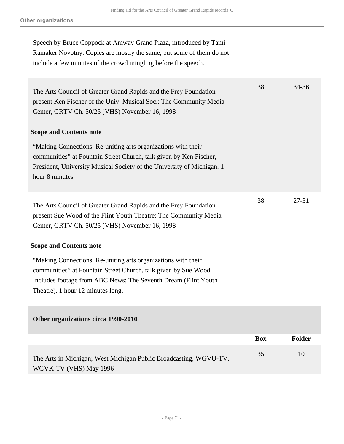Speech by Bruce Coppock at Amway Grand Plaza, introduced by Tami Ramaker Novotny. Copies are mostly the same, but some of them do not include a few minutes of the crowd mingling before the speech.

| The Arts Council of Greater Grand Rapids and the Frey Foundation<br>present Ken Fischer of the Univ. Musical Soc.; The Community Media<br>Center, GRTV Ch. 50/25 (VHS) November 16, 1998                                                | 38         | 34-36         |
|-----------------------------------------------------------------------------------------------------------------------------------------------------------------------------------------------------------------------------------------|------------|---------------|
| <b>Scope and Contents note</b>                                                                                                                                                                                                          |            |               |
| "Making Connections: Re-uniting arts organizations with their<br>communities" at Fountain Street Church, talk given by Ken Fischer,<br>President, University Musical Society of the University of Michigan. 1<br>hour 8 minutes.        |            |               |
| The Arts Council of Greater Grand Rapids and the Frey Foundation<br>present Sue Wood of the Flint Youth Theatre; The Community Media<br>Center, GRTV Ch. 50/25 (VHS) November 16, 1998                                                  | 38         | $27 - 31$     |
| <b>Scope and Contents note</b>                                                                                                                                                                                                          |            |               |
| "Making Connections: Re-uniting arts organizations with their<br>communities" at Fountain Street Church, talk given by Sue Wood.<br>Includes footage from ABC News; The Seventh Dream (Flint Youth<br>Theatre). 1 hour 12 minutes long. |            |               |
| Other organizations circa 1990-2010                                                                                                                                                                                                     |            |               |
|                                                                                                                                                                                                                                         | <b>Box</b> | <b>Folder</b> |
| The Arts in Michigan; West Michigan Public Broadcasting, WGVU-TV,<br>WGVK-TV (VHS) May 1996                                                                                                                                             | 35         | 10            |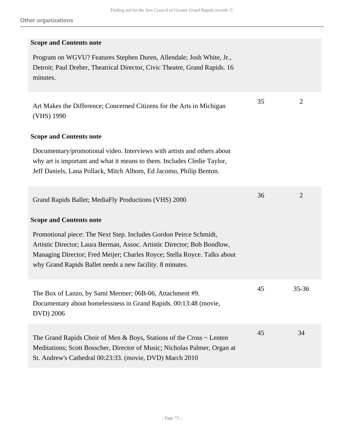| <b>Scope and Contents note</b>                                                                                                                                                                                                                                                       |    |                |
|--------------------------------------------------------------------------------------------------------------------------------------------------------------------------------------------------------------------------------------------------------------------------------------|----|----------------|
| Program on WGVU? Features Stephen Duren, Allendale; Josh White, Jr.,<br>Detroit; Paul Dreher, Theatrical Director, Civic Theatre, Grand Rapids. 16<br>minutes.                                                                                                                       |    |                |
| Art Makes the Difference; Concerned Citizens for the Arts in Michigan<br>(VHS) 1990                                                                                                                                                                                                  | 35 | $\overline{2}$ |
| <b>Scope and Contents note</b>                                                                                                                                                                                                                                                       |    |                |
| Documentary/promotional video. Interviews with artists and others about<br>why art is important and what it means to them. Includes Cledie Taylor,<br>Jeff Daniels, Lana Pollack, Mitch Albom, Ed Jacomo, Philip Benton.                                                             |    |                |
| Grand Rapids Ballet; MediaFly Productions (VHS) 2000                                                                                                                                                                                                                                 | 36 | 2              |
| <b>Scope and Contents note</b>                                                                                                                                                                                                                                                       |    |                |
| Promotional piece: The Next Step. Includes Gordon Peirce Schmidt,<br>Artistic Director; Laura Berman, Assoc. Artistic Director; Bob Bondlow,<br>Managing Director; Fred Meijer; Charles Royce; Stella Royce. Talks about<br>why Grand Rapids Ballet needs a new facility. 8 minutes. |    |                |
| The Box of Lanzo, by Sami Mermer; 06B-06, Attachment #9.<br>Documentary about homelessness in Grand Rapids. 00:13:48 (movie,<br>DVD) 2006                                                                                                                                            | 45 | 35-36          |
| The Grand Rapids Choir of Men & Boys, Stations of the Cross $\sim$ Lenten<br>Meditations; Scott Bosscher, Director of Music; Nicholas Palmer, Organ at<br>St. Andrew's Cathedral 00:23:33. (movie, DVD) March 2010                                                                   | 45 | 34             |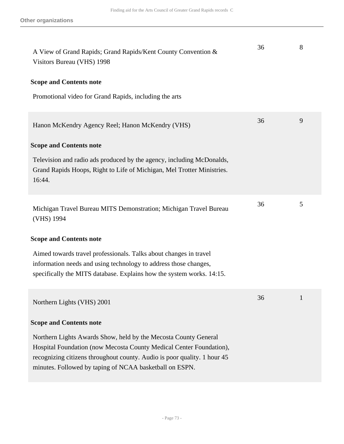| A View of Grand Rapids; Grand Rapids/Kent County Convention &<br>Visitors Bureau (VHS) 1998                                                                                                                                                                                   | 36 | 8 |
|-------------------------------------------------------------------------------------------------------------------------------------------------------------------------------------------------------------------------------------------------------------------------------|----|---|
| <b>Scope and Contents note</b>                                                                                                                                                                                                                                                |    |   |
| Promotional video for Grand Rapids, including the arts                                                                                                                                                                                                                        |    |   |
| Hanon McKendry Agency Reel; Hanon McKendry (VHS)                                                                                                                                                                                                                              | 36 | 9 |
| <b>Scope and Contents note</b>                                                                                                                                                                                                                                                |    |   |
| Television and radio ads produced by the agency, including McDonalds,<br>Grand Rapids Hoops, Right to Life of Michigan, Mel Trotter Ministries.<br>16:44.                                                                                                                     |    |   |
| Michigan Travel Bureau MITS Demonstration; Michigan Travel Bureau<br>(VHS) 1994                                                                                                                                                                                               | 36 | 5 |
| <b>Scope and Contents note</b>                                                                                                                                                                                                                                                |    |   |
| Aimed towards travel professionals. Talks about changes in travel<br>information needs and using technology to address those changes,<br>specifically the MITS database. Explains how the system works. 14:15.                                                                |    |   |
| Northern Lights (VHS) 2001                                                                                                                                                                                                                                                    | 36 | 1 |
| <b>Scope and Contents note</b>                                                                                                                                                                                                                                                |    |   |
| Northern Lights Awards Show, held by the Mecosta County General<br>Hospital Foundation (now Mecosta County Medical Center Foundation),<br>recognizing citizens throughout county. Audio is poor quality. 1 hour 45<br>minutes. Followed by taping of NCAA basketball on ESPN. |    |   |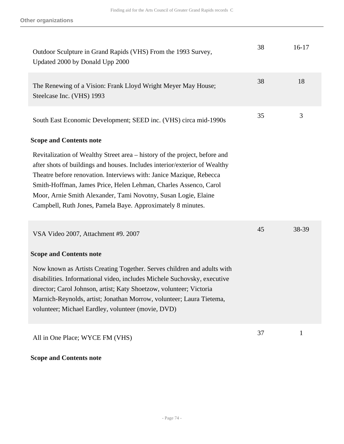| Outdoor Sculpture in Grand Rapids (VHS) From the 1993 Survey,<br>Updated 2000 by Donald Upp 2000                                                                                                                                                                                                                                                                                                                                     | 38 | $16-17$      |
|--------------------------------------------------------------------------------------------------------------------------------------------------------------------------------------------------------------------------------------------------------------------------------------------------------------------------------------------------------------------------------------------------------------------------------------|----|--------------|
| The Renewing of a Vision: Frank Lloyd Wright Meyer May House;<br>Steelcase Inc. (VHS) 1993                                                                                                                                                                                                                                                                                                                                           | 38 | 18           |
| South East Economic Development; SEED inc. (VHS) circa mid-1990s                                                                                                                                                                                                                                                                                                                                                                     | 35 | 3            |
| <b>Scope and Contents note</b>                                                                                                                                                                                                                                                                                                                                                                                                       |    |              |
| Revitalization of Wealthy Street area – history of the project, before and<br>after shots of buildings and houses. Includes interior/exterior of Wealthy<br>Theatre before renovation. Interviews with: Janice Mazique, Rebecca<br>Smith-Hoffman, James Price, Helen Lehman, Charles Assenco, Carol<br>Moor, Arnie Smith Alexander, Tami Novotny, Susan Logie, Elaine<br>Campbell, Ruth Jones, Pamela Baye. Approximately 8 minutes. |    |              |
| VSA Video 2007, Attachment #9. 2007                                                                                                                                                                                                                                                                                                                                                                                                  | 45 | 38-39        |
| <b>Scope and Contents note</b>                                                                                                                                                                                                                                                                                                                                                                                                       |    |              |
| Now known as Artists Creating Together. Serves children and adults with<br>disabilities. Informational video, includes Michele Suchovsky, executive<br>director; Carol Johnson, artist; Katy Shoetzow, volunteer; Victoria<br>Marnich-Reynolds, artist; Jonathan Morrow, volunteer; Laura Tietema,<br>volunteer; Michael Eardley, volunteer (movie, DVD)                                                                             |    |              |
| All in One Place; WYCE FM (VHS)                                                                                                                                                                                                                                                                                                                                                                                                      | 37 | $\mathbf{1}$ |

## **Scope and Contents note**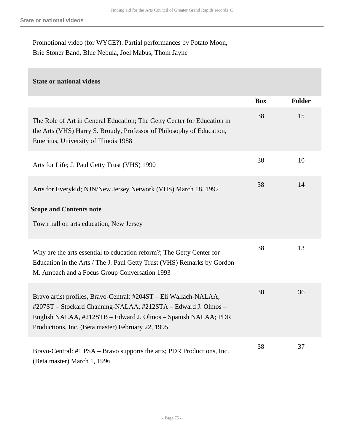Promotional video (for WYCE?). Partial performances by Potato Moon, Brie Stoner Band, Blue Nebula, Joel Mabus, Thom Jayne

## **State or national videos**

|                                                                                                                                                                                                                                                          | <b>Box</b> | <b>Folder</b> |
|----------------------------------------------------------------------------------------------------------------------------------------------------------------------------------------------------------------------------------------------------------|------------|---------------|
| The Role of Art in General Education; The Getty Center for Education in<br>the Arts (VHS) Harry S. Broudy, Professor of Philosophy of Education,<br>Emeritus, University of Illinois 1988                                                                | 38         | 15            |
| Arts for Life; J. Paul Getty Trust (VHS) 1990                                                                                                                                                                                                            | 38         | 10            |
| Arts for Everykid; NJN/New Jersey Network (VHS) March 18, 1992                                                                                                                                                                                           | 38         | 14            |
| <b>Scope and Contents note</b><br>Town hall on arts education, New Jersey                                                                                                                                                                                |            |               |
| Why are the arts essential to education reform?; The Getty Center for<br>Education in the Arts / The J. Paul Getty Trust (VHS) Remarks by Gordon<br>M. Ambach and a Focus Group Conversation 1993                                                        | 38         | 13            |
| Bravo artist profiles, Bravo-Central: #204ST – Eli Wallach-NALAA,<br>#207ST – Stockard Channing-NALAA, #212STA – Edward J. Olmos –<br>English NALAA, #212STB – Edward J. Olmos – Spanish NALAA; PDR<br>Productions, Inc. (Beta master) February 22, 1995 | 38         | 36            |
| Bravo-Central: #1 PSA – Bravo supports the arts; PDR Productions, Inc.<br>(Beta master) March 1, 1996                                                                                                                                                    | 38         | 37            |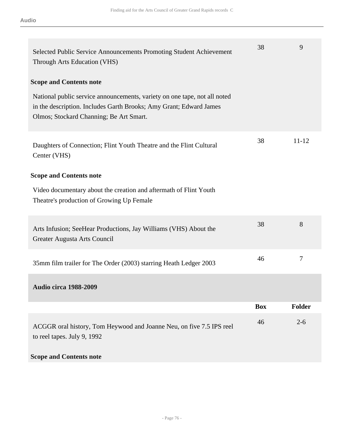| Selected Public Service Announcements Promoting Student Achievement<br>Through Arts Education (VHS)                                                                                        | 38         | 9             |
|--------------------------------------------------------------------------------------------------------------------------------------------------------------------------------------------|------------|---------------|
| <b>Scope and Contents note</b>                                                                                                                                                             |            |               |
| National public service announcements, variety on one tape, not all noted<br>in the description. Includes Garth Brooks; Amy Grant; Edward James<br>Olmos; Stockard Channing; Be Art Smart. |            |               |
| Daughters of Connection; Flint Youth Theatre and the Flint Cultural<br>Center (VHS)                                                                                                        | 38         | $11 - 12$     |
| <b>Scope and Contents note</b>                                                                                                                                                             |            |               |
| Video documentary about the creation and aftermath of Flint Youth<br>Theatre's production of Growing Up Female                                                                             |            |               |
| Arts Infusion; SeeHear Productions, Jay Williams (VHS) About the<br>Greater Augusta Arts Council                                                                                           | 38         | 8             |
| 35mm film trailer for The Order (2003) starring Heath Ledger 2003                                                                                                                          | 46         | $\tau$        |
| <b>Audio circa 1988-2009</b>                                                                                                                                                               |            |               |
|                                                                                                                                                                                            | <b>Box</b> | <b>Folder</b> |
| ACGGR oral history, Tom Heywood and Joanne Neu, on five 7.5 IPS reel<br>to reel tapes. July 9, 1992                                                                                        | 46         | $2 - 6$       |
| <b>Scope and Contents note</b>                                                                                                                                                             |            |               |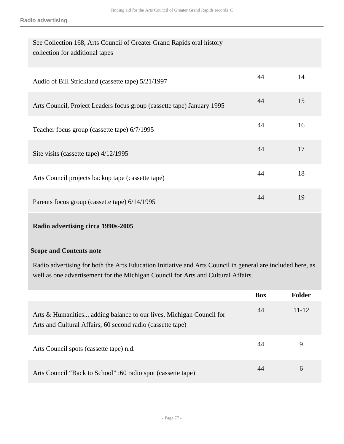| See Collection 168, Arts Council of Greater Grand Rapids oral history<br>collection for additional tapes |    |    |
|----------------------------------------------------------------------------------------------------------|----|----|
| Audio of Bill Strickland (cassette tape) 5/21/1997                                                       | 44 | 14 |
| Arts Council, Project Leaders focus group (cassette tape) January 1995                                   | 44 | 15 |
| Teacher focus group (cassette tape) 6/7/1995                                                             | 44 | 16 |
| Site visits (cassette tape) 4/12/1995                                                                    | 44 | 17 |
| Arts Council projects backup tape (cassette tape)                                                        | 44 | 18 |
| Parents focus group (cassette tape) 6/14/1995                                                            | 44 | 19 |

# **Radio advertising circa 1990s-2005**

### **Scope and Contents note**

Radio advertising for both the Arts Education Initiative and Arts Council in general are included here, as well as one advertisement for the Michigan Council for Arts and Cultural Affairs.

|                                                                                                                                   | <b>Box</b> | <b>Folder</b> |
|-----------------------------------------------------------------------------------------------------------------------------------|------------|---------------|
| Arts & Humanities adding balance to our lives, Michigan Council for<br>Arts and Cultural Affairs, 60 second radio (cassette tape) | 44         | $11 - 12$     |
| Arts Council spots (cassette tape) n.d.                                                                                           | 44         | 9             |
| Arts Council "Back to School" :60 radio spot (cassette tape)                                                                      | 44         | 6             |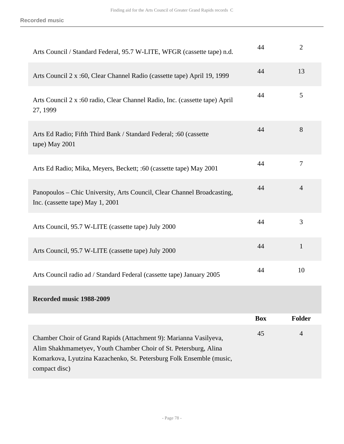| Arts Council / Standard Federal, 95.7 W-LITE, WFGR (cassette tape) n.d.                                                                                                                                                        | 44         | $\overline{2}$ |
|--------------------------------------------------------------------------------------------------------------------------------------------------------------------------------------------------------------------------------|------------|----------------|
| Arts Council 2 x :60, Clear Channel Radio (cassette tape) April 19, 1999                                                                                                                                                       | 44         | 13             |
| Arts Council 2 x :60 radio, Clear Channel Radio, Inc. (cassette tape) April<br>27, 1999                                                                                                                                        | 44         | 5              |
| Arts Ed Radio; Fifth Third Bank / Standard Federal; :60 (cassette<br>tape) May 2001                                                                                                                                            | 44         | 8              |
| Arts Ed Radio; Mika, Meyers, Beckett; :60 (cassette tape) May 2001                                                                                                                                                             | 44         | $\overline{7}$ |
| Panopoulos – Chic University, Arts Council, Clear Channel Broadcasting,<br>Inc. (cassette tape) May 1, 2001                                                                                                                    | 44         | $\overline{4}$ |
| Arts Council, 95.7 W-LITE (cassette tape) July 2000                                                                                                                                                                            | 44         | 3              |
| Arts Council, 95.7 W-LITE (cassette tape) July 2000                                                                                                                                                                            | 44         | $\mathbf{1}$   |
| Arts Council radio ad / Standard Federal (cassette tape) January 2005                                                                                                                                                          | 44         | 10             |
| Recorded music 1988-2009                                                                                                                                                                                                       |            |                |
|                                                                                                                                                                                                                                | <b>Box</b> | <b>Folder</b>  |
| Chamber Choir of Grand Rapids (Attachment 9): Marianna Vasilyeva,<br>Alim Shakhmametyev, Youth Chamber Choir of St. Petersburg, Alina<br>Komarkova, Lyutzina Kazachenko, St. Petersburg Folk Ensemble (music,<br>compact disc) | 45         | $\overline{4}$ |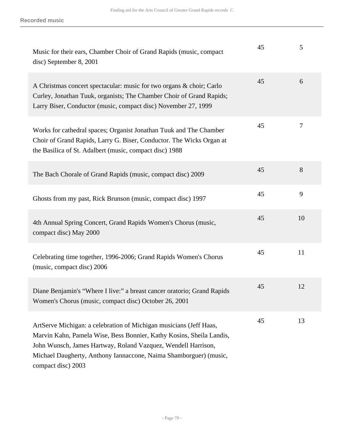| Music for their ears, Chamber Choir of Grand Rapids (music, compact<br>disc) September 8, 2001                                                                                                                                                                                                         | 45 | 5  |
|--------------------------------------------------------------------------------------------------------------------------------------------------------------------------------------------------------------------------------------------------------------------------------------------------------|----|----|
| A Christmas concert spectacular: music for two organs & choir; Carlo<br>Curley, Jonathan Tuuk, organists; The Chamber Choir of Grand Rapids;<br>Larry Biser, Conductor (music, compact disc) November 27, 1999                                                                                         | 45 | 6  |
| Works for cathedral spaces; Organist Jonathan Tuuk and The Chamber<br>Choir of Grand Rapids, Larry G. Biser, Conductor. The Wicks Organ at<br>the Basilica of St. Adalbert (music, compact disc) 1988                                                                                                  | 45 | 7  |
| The Bach Chorale of Grand Rapids (music, compact disc) 2009                                                                                                                                                                                                                                            | 45 | 8  |
| Ghosts from my past, Rick Brunson (music, compact disc) 1997                                                                                                                                                                                                                                           | 45 | 9  |
| 4th Annual Spring Concert, Grand Rapids Women's Chorus (music,<br>compact disc) May 2000                                                                                                                                                                                                               | 45 | 10 |
| Celebrating time together, 1996-2006; Grand Rapids Women's Chorus<br>(music, compact disc) 2006                                                                                                                                                                                                        | 45 | 11 |
| Diane Benjamin's "Where I live:" a breast cancer oratorio; Grand Rapids<br>Women's Chorus (music, compact disc) October 26, 2001                                                                                                                                                                       | 45 | 12 |
| ArtServe Michigan: a celebration of Michigan musicians (Jeff Haas,<br>Marvin Kahn, Pamela Wise, Bess Bonnier, Kathy Kosins, Sheila Landis,<br>John Wunsch, James Hartway, Roland Vazquez, Wendell Harrison,<br>Michael Daugherty, Anthony Iannaccone, Naima Shamborguer) (music,<br>compact disc) 2003 | 45 | 13 |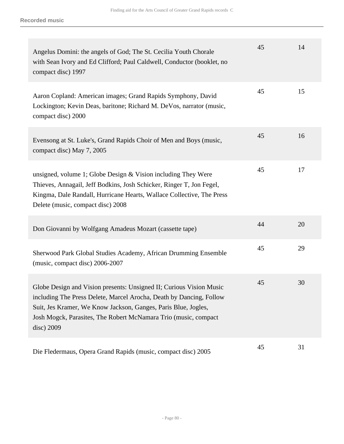| Angelus Domini: the angels of God; The St. Cecilia Youth Chorale<br>with Sean Ivory and Ed Clifford; Paul Caldwell, Conductor (booklet, no<br>compact disc) 1997                                                                                                                              | 45 | 14 |
|-----------------------------------------------------------------------------------------------------------------------------------------------------------------------------------------------------------------------------------------------------------------------------------------------|----|----|
| Aaron Copland: American images; Grand Rapids Symphony, David<br>Lockington; Kevin Deas, baritone; Richard M. DeVos, narrator (music,<br>compact disc) 2000                                                                                                                                    | 45 | 15 |
| Evensong at St. Luke's, Grand Rapids Choir of Men and Boys (music,<br>compact disc) May 7, 2005                                                                                                                                                                                               | 45 | 16 |
| unsigned, volume 1; Globe Design $&$ Vision including They Were<br>Thieves, Annagail, Jeff Bodkins, Josh Schicker, Ringer T, Jon Fegel,<br>Kingma, Dale Randall, Hurricane Hearts, Wallace Collective, The Press<br>Delete (music, compact disc) 2008                                         | 45 | 17 |
| Don Giovanni by Wolfgang Amadeus Mozart (cassette tape)                                                                                                                                                                                                                                       | 44 | 20 |
| Sherwood Park Global Studies Academy, African Drumming Ensemble<br>(music, compact disc) 2006-2007                                                                                                                                                                                            | 45 | 29 |
| Globe Design and Vision presents: Unsigned II; Curious Vision Music<br>including The Press Delete, Marcel Arocha, Death by Dancing, Follow<br>Suit, Jes Kramer, We Know Jackson, Ganges, Paris Blue, Jogles,<br>Josh Mogck, Parasites, The Robert McNamara Trio (music, compact<br>disc) 2009 | 45 | 30 |
| Die Fledermaus, Opera Grand Rapids (music, compact disc) 2005                                                                                                                                                                                                                                 | 45 | 31 |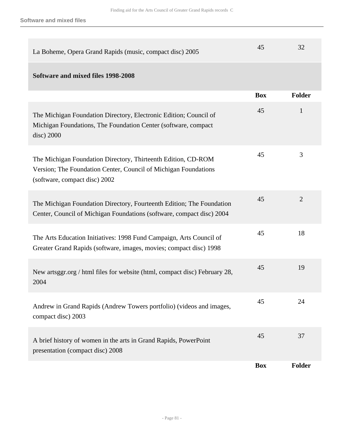| La Boheme, Opera Grand Rapids (music, compact disc) 2005                                                                                                          | 45         | 32             |
|-------------------------------------------------------------------------------------------------------------------------------------------------------------------|------------|----------------|
| Software and mixed files 1998-2008                                                                                                                                |            |                |
|                                                                                                                                                                   | <b>Box</b> | Folder         |
| The Michigan Foundation Directory, Electronic Edition; Council of<br>Michigan Foundations, The Foundation Center (software, compact)<br>disc) 2000                | 45         | 1              |
| The Michigan Foundation Directory, Thirteenth Edition, CD-ROM<br>Version; The Foundation Center, Council of Michigan Foundations<br>(software, compact disc) 2002 | 45         | 3              |
| The Michigan Foundation Directory, Fourteenth Edition; The Foundation<br>Center, Council of Michigan Foundations (software, compact disc) 2004                    | 45         | $\overline{2}$ |
| The Arts Education Initiatives: 1998 Fund Campaign, Arts Council of<br>Greater Grand Rapids (software, images, movies; compact disc) 1998                         | 45         | 18             |
| New artsggr.org / html files for website (html, compact disc) February 28,<br>2004                                                                                | 45         | 19             |
| Andrew in Grand Rapids (Andrew Towers portfolio) (videos and images,<br>compact disc) 2003                                                                        | 45         | 24             |
| A brief history of women in the arts in Grand Rapids, PowerPoint<br>presentation (compact disc) 2008                                                              | 45         | 37             |
|                                                                                                                                                                   | <b>Box</b> | Folder         |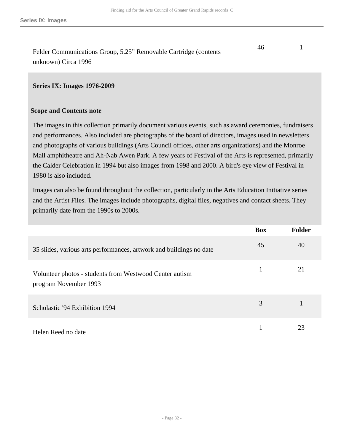Felder Communications Group, 5.25" Removable Cartridge (contents unknown) Circa 1996 46 1

#### **Series IX: Images 1976-2009**

#### **Scope and Contents note**

The images in this collection primarily document various events, such as award ceremonies, fundraisers and performances. Also included are photographs of the board of directors, images used in newsletters and photographs of various buildings (Arts Council offices, other arts organizations) and the Monroe Mall amphitheatre and Ah-Nab Awen Park. A few years of Festival of the Arts is represented, primarily the Calder Celebration in 1994 but also images from 1998 and 2000. A bird's eye view of Festival in 1980 is also included.

Images can also be found throughout the collection, particularly in the Arts Education Initiative series and the Artist Files. The images include photographs, digital files, negatives and contact sheets. They primarily date from the 1990s to 2000s.

|                                                                                  | <b>Box</b> | <b>Folder</b> |
|----------------------------------------------------------------------------------|------------|---------------|
| 35 slides, various arts performances, artwork and buildings no date              | 45         | 40            |
| Volunteer photos - students from Westwood Center autism<br>program November 1993 | 1          | 21            |
| Scholastic '94 Exhibition 1994                                                   | 3          |               |
| Helen Reed no date                                                               |            | 23            |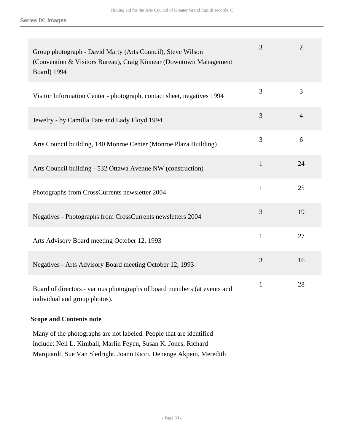| Group photograph - David Marty (Arts Council), Steve Wilson<br>(Convention & Visitors Bureau), Craig Kinnear (Downtown Management)<br><b>Board</b> ) 1994 | 3            | $\overline{2}$ |
|-----------------------------------------------------------------------------------------------------------------------------------------------------------|--------------|----------------|
| Visitor Information Center - photograph, contact sheet, negatives 1994                                                                                    | 3            | 3              |
| Jewelry - by Camilla Tate and Lady Floyd 1994                                                                                                             | 3            | $\overline{4}$ |
| Arts Council building, 140 Monroe Center (Monroe Plaza Building)                                                                                          | 3            | 6              |
| Arts Council building - 532 Ottawa Avenue NW (construction)                                                                                               | $\mathbf{1}$ | 24             |
| Photographs from CrossCurrents newsletter 2004                                                                                                            | $\mathbf{1}$ | 25             |
| Negatives - Photographs from CrossCurrents newsletters 2004                                                                                               | 3            | 19             |
| Arts Advisory Board meeting October 12, 1993                                                                                                              | 1            | 27             |
| Negatives - Arts Advisory Board meeting October 12, 1993                                                                                                  | 3            | 16             |
| Board of directors - various photographs of board members (at events and<br>individual and group photos).                                                 | $\mathbf{1}$ | 28             |

## **Scope and Contents note**

Many of the photographs are not labeled. People that are identified include: Neil L. Kimball, Marlin Feyen, Susan K. Jones, Richard Marquardt, Sue Van Sledright, Joann Ricci, Denenge Akpem, Meredith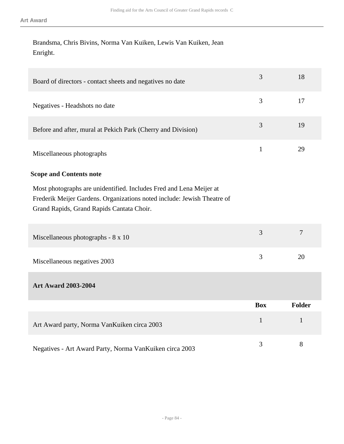Brandsma, Chris Bivins, Norma Van Kuiken, Lewis Van Kuiken, Jean Enright.

| Board of directors - contact sheets and negatives no date                                                                                                                                   | 3            | 18            |
|---------------------------------------------------------------------------------------------------------------------------------------------------------------------------------------------|--------------|---------------|
| Negatives - Headshots no date                                                                                                                                                               | 3            | 17            |
| Before and after, mural at Pekich Park (Cherry and Division)                                                                                                                                | 3            | 19            |
| Miscellaneous photographs                                                                                                                                                                   | $\mathbf{1}$ | 29            |
| <b>Scope and Contents note</b>                                                                                                                                                              |              |               |
| Most photographs are unidentified. Includes Fred and Lena Meijer at<br>Frederik Meijer Gardens. Organizations noted include: Jewish Theatre of<br>Grand Rapids, Grand Rapids Cantata Choir. |              |               |
| Miscellaneous photographs - 8 x 10                                                                                                                                                          | 3            | $\tau$        |
| Miscellaneous negatives 2003                                                                                                                                                                | 3            | 20            |
| <b>Art Award 2003-2004</b>                                                                                                                                                                  |              |               |
|                                                                                                                                                                                             | <b>Box</b>   | <b>Folder</b> |
| Art Award party, Norma VanKuiken circa 2003                                                                                                                                                 | $\mathbf{1}$ | $\mathbf{1}$  |
| Negatives - Art Award Party, Norma VanKuiken circa 2003                                                                                                                                     | 3            | 8             |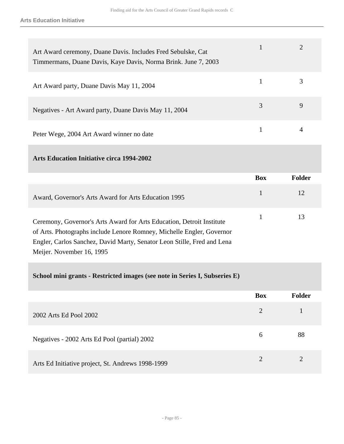| Art Award ceremony, Duane Davis. Includes Fred Sebulske, Cat<br>Timmermans, Duane Davis, Kaye Davis, Norma Brink. June 7, 2003 |   |   |
|--------------------------------------------------------------------------------------------------------------------------------|---|---|
| Art Award party, Duane Davis May 11, 2004                                                                                      |   |   |
| Negatives - Art Award party, Duane Davis May 11, 2004                                                                          | 3 | 9 |
| Peter Wege, 2004 Art Award winner no date                                                                                      |   |   |

**Arts Education Initiative circa 1994-2002** 

|                                                                                                                                                                                                                          | <b>Box</b> | Folder |
|--------------------------------------------------------------------------------------------------------------------------------------------------------------------------------------------------------------------------|------------|--------|
| Award, Governor's Arts Award for Arts Education 1995                                                                                                                                                                     |            | 12     |
| Ceremony, Governor's Arts Award for Arts Education, Detroit Institute<br>$\mathcal{L}$ A at $\mathbf{D}$ between the fundator in an $\mathbf{D}$ converted $\mathbf{M}$ of all $\mathbf{D}$ and $\mathbf{C}$ are seen as |            |        |

of Arts. Photographs include Lenore Romney, Michelle Engler, Governor Engler, Carlos Sanchez, David Marty, Senator Leon Stille, Fred and Lena Meijer. November 16, 1995

**School mini grants - Restricted images (see note in Series I, Subseries E)** 

|                                                   | <b>Box</b>            | <b>Folder</b> |
|---------------------------------------------------|-----------------------|---------------|
| 2002 Arts Ed Pool 2002                            | 2                     |               |
| Negatives - 2002 Arts Ed Pool (partial) 2002      | 6                     | 88            |
| Arts Ed Initiative project, St. Andrews 1998-1999 | $\mathcal{D}_{\cdot}$ |               |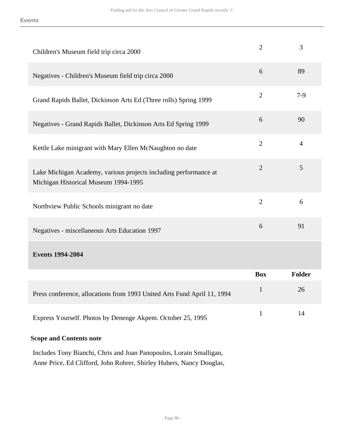| Children's Museum field trip circa 2000                                                                  | $\overline{2}$ | 3              |
|----------------------------------------------------------------------------------------------------------|----------------|----------------|
| Negatives - Children's Museum field trip circa 2000                                                      | 6              | 89             |
| Grand Rapids Ballet, Dickinson Arts Ed (Three rolls) Spring 1999                                         | $\overline{2}$ | $7-9$          |
| Negatives - Grand Rapids Ballet, Dickinson Arts Ed Spring 1999                                           | 6              | 90             |
| Kettle Lake minigrant with Mary Ellen McNaughton no date                                                 | $\overline{2}$ | $\overline{4}$ |
| Lake Michigan Academy, various projects including performance at<br>Michigan Historical Museum 1994-1995 | $\overline{2}$ | 5              |
| Northview Public Schools minigrant no date                                                               | $\overline{2}$ | 6              |
| Negatives - miscellaneous Arts Education 1997                                                            | 6              | 91             |
| <b>Events 1994-2004</b>                                                                                  |                |                |
|                                                                                                          | <b>Box</b>     | <b>Folder</b>  |
| Press conference, allocations from 1993 United Arts Fund April 11, 1994                                  | $\mathbf{1}$   | 26             |
| Express Yourself. Photos by Denenge Akpem. October 25, 1995                                              | 1              | 14             |

### **Scope and Contents note**

Includes Tony Bianchi, Chris and Joan Panopoulos, Lorain Smalligan, Anne Price, Ed Clifford, John Rohrer, Shirley Hubers, Nancy Douglas,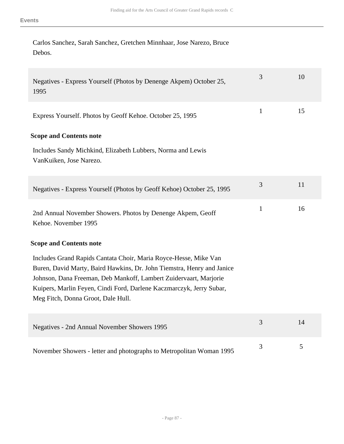Carlos Sanchez, Sarah Sanchez, Gretchen Minnhaar, Jose Narezo, Bruce Debos.

| Negatives - Express Yourself (Photos by Denenge Akpem) October 25,<br>1995                                                                                                                                                                                                                                                    | 3            | 10 |
|-------------------------------------------------------------------------------------------------------------------------------------------------------------------------------------------------------------------------------------------------------------------------------------------------------------------------------|--------------|----|
| Express Yourself. Photos by Geoff Kehoe. October 25, 1995                                                                                                                                                                                                                                                                     | $\mathbf{1}$ | 15 |
| <b>Scope and Contents note</b>                                                                                                                                                                                                                                                                                                |              |    |
| Includes Sandy Michkind, Elizabeth Lubbers, Norma and Lewis<br>VanKuiken, Jose Narezo.                                                                                                                                                                                                                                        |              |    |
| Negatives - Express Yourself (Photos by Geoff Kehoe) October 25, 1995                                                                                                                                                                                                                                                         | 3            | 11 |
| 2nd Annual November Showers. Photos by Denenge Akpem, Geoff<br>Kehoe. November 1995                                                                                                                                                                                                                                           | $\mathbf{1}$ | 16 |
| <b>Scope and Contents note</b>                                                                                                                                                                                                                                                                                                |              |    |
| Includes Grand Rapids Cantata Choir, Maria Royce-Hesse, Mike Van<br>Buren, David Marty, Baird Hawkins, Dr. John Tiemstra, Henry and Janice<br>Johnson, Dana Freeman, Deb Mankoff, Lambert Zuidervaart, Marjorie<br>Kuipers, Marlin Feyen, Cindi Ford, Darlene Kaczmarczyk, Jerry Subar,<br>Meg Fitch, Donna Groot, Dale Hull. |              |    |
| Negatives - 2nd Annual November Showers 1995                                                                                                                                                                                                                                                                                  | 3            | 14 |
| November Showers - letter and photographs to Metropolitan Woman 1995                                                                                                                                                                                                                                                          | 3            | 5  |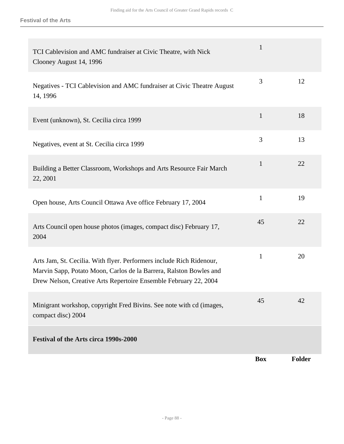|                                                                                                                                                                                                                | <b>Box</b>   | Folder |
|----------------------------------------------------------------------------------------------------------------------------------------------------------------------------------------------------------------|--------------|--------|
| <b>Festival of the Arts circa 1990s-2000</b>                                                                                                                                                                   |              |        |
| Minigrant workshop, copyright Fred Bivins. See note with cd (images,<br>compact disc) 2004                                                                                                                     | 45           | 42     |
| Arts Jam, St. Cecilia. With flyer. Performers include Rich Ridenour,<br>Marvin Sapp, Potato Moon, Carlos de la Barrera, Ralston Bowles and<br>Drew Nelson, Creative Arts Repertoire Ensemble February 22, 2004 | $\mathbf{1}$ | 20     |
| Arts Council open house photos (images, compact disc) February 17,<br>2004                                                                                                                                     | 45           | 22     |
| Open house, Arts Council Ottawa Ave office February 17, 2004                                                                                                                                                   | $\mathbf{1}$ | 19     |
| Building a Better Classroom, Workshops and Arts Resource Fair March<br>22, 2001                                                                                                                                | $\mathbf{1}$ | 22     |
| Negatives, event at St. Cecilia circa 1999                                                                                                                                                                     | 3            | 13     |
| Event (unknown), St. Cecilia circa 1999                                                                                                                                                                        | $\mathbf{1}$ | 18     |
| Negatives - TCI Cablevision and AMC fundraiser at Civic Theatre August<br>14, 1996                                                                                                                             | 3            | 12     |
| TCI Cablevision and AMC fundraiser at Civic Theatre, with Nick<br>Clooney August 14, 1996                                                                                                                      | $\mathbf{1}$ |        |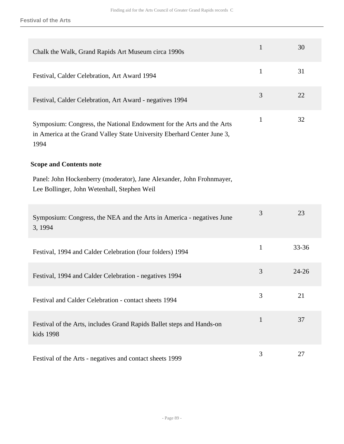**Festival of the Arts**

| Chalk the Walk, Grand Rapids Art Museum circa 1990s                                                                                                      | $\mathbf{1}$ | 30        |
|----------------------------------------------------------------------------------------------------------------------------------------------------------|--------------|-----------|
| Festival, Calder Celebration, Art Award 1994                                                                                                             | $\mathbf{1}$ | 31        |
| Festival, Calder Celebration, Art Award - negatives 1994                                                                                                 | 3            | 22        |
| Symposium: Congress, the National Endowment for the Arts and the Arts<br>in America at the Grand Valley State University Eberhard Center June 3,<br>1994 | $\mathbf{1}$ | 32        |
| <b>Scope and Contents note</b>                                                                                                                           |              |           |
| Panel: John Hockenberry (moderator), Jane Alexander, John Frohnmayer,<br>Lee Bollinger, John Wetenhall, Stephen Weil                                     |              |           |
| Symposium: Congress, the NEA and the Arts in America - negatives June<br>3, 1994                                                                         | 3            | 23        |
| Festival, 1994 and Calder Celebration (four folders) 1994                                                                                                | $\mathbf{1}$ | $33 - 36$ |
| Festival, 1994 and Calder Celebration - negatives 1994                                                                                                   | 3            | $24 - 26$ |
| Festival and Calder Celebration - contact sheets 1994                                                                                                    | 3            | 21        |
| Festival of the Arts, includes Grand Rapids Ballet steps and Hands-on<br>kids 1998                                                                       | $\mathbf{1}$ | 37        |
| Festival of the Arts - negatives and contact sheets 1999                                                                                                 | 3            | 27        |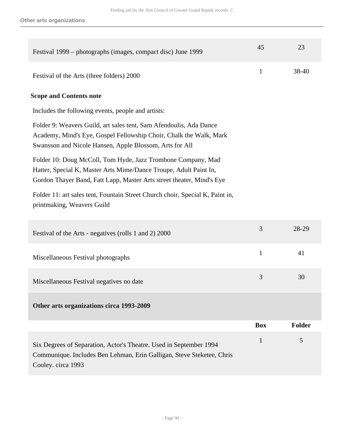| Festival 1999 – photographs (images, compact disc) June 1999                                                                                                                                               | 45           | 23            |
|------------------------------------------------------------------------------------------------------------------------------------------------------------------------------------------------------------|--------------|---------------|
| Festival of the Arts (three folders) 2000                                                                                                                                                                  | $\mathbf{1}$ | 38-40         |
| <b>Scope and Contents note</b>                                                                                                                                                                             |              |               |
| Includes the following events, people and artists:                                                                                                                                                         |              |               |
| Folder 9: Weavers Guild, art sales tent, Sam Afendoulis, Ada Dance<br>Academy, Mind's Eye, Gospel Fellowship Choir, Chalk the Walk, Mark<br>Swansson and Nicole Hansen, Apple Blossom, Arts for All        |              |               |
| Folder 10: Doug McColl, Tom Hyde, Jazz Trombone Company, Mad<br>Hatter, Special K, Master Arts Mime/Dance Troupe, Adult Paint In,<br>Gordon Thayer Band, Fatt Lapp, Master Arts street theater, Mind's Eye |              |               |
| Folder 11: art sales tent, Fountain Street Church choir, Special K, Paint in,<br>printmaking, Weavers Guild                                                                                                |              |               |
| Festival of the Arts - negatives (rolls 1 and 2) 2000                                                                                                                                                      | 3            | 28-29         |
| Miscellaneous Festival photographs                                                                                                                                                                         | $\mathbf{1}$ | 41            |
| Miscellaneous Festival negatives no date                                                                                                                                                                   | 3            | 30            |
| Other arts organizations circa 1993-2009                                                                                                                                                                   |              |               |
|                                                                                                                                                                                                            | <b>Box</b>   | <b>Folder</b> |
| Six Degrees of Separation, Actor's Theatre. Used in September 1994<br>Communique. Includes Ben Lehman, Erin Galligan, Steve Steketee, Chris<br>Cooley. circa 1993                                          | 1            | 5             |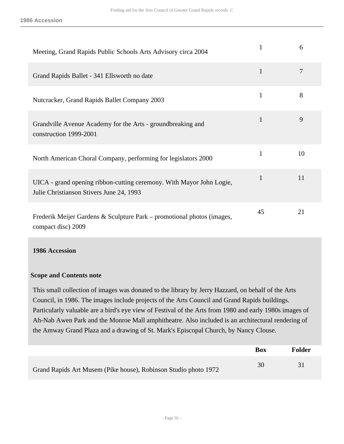| Meeting, Grand Rapids Public Schools Arts Advisory circa 2004                                                    |              | 6  |
|------------------------------------------------------------------------------------------------------------------|--------------|----|
| Grand Rapids Ballet - 341 Ellsworth no date                                                                      | $\mathbf{1}$ | 7  |
| Nutcracker, Grand Rapids Ballet Company 2003                                                                     | $\mathbf{1}$ | 8  |
| Grandville Avenue Academy for the Arts - groundbreaking and<br>construction 1999-2001                            | $\mathbf{1}$ | 9  |
| North American Choral Company, performing for legislators 2000                                                   | 1            | 10 |
| UICA - grand opening ribbon-cutting ceremony. With Mayor John Logie,<br>Julie Christianson Stivers June 24, 1993 | $\mathbf{1}$ | 11 |
| Frederik Meijer Gardens & Sculpture Park – promotional photos (images,<br>compact disc) 2009                     | 45           | 21 |

#### **1986 Accession**

#### **Scope and Contents note**

This small collection of images was donated to the library by Jerry Hazzard, on behalf of the Arts Council, in 1986. The images include projects of the Arts Council and Grand Rapids buildings. Particularly valuable are a bird's eye view of Festival of the Arts from 1980 and early 1980s images of Ah-Nab Awen Park and the Monroe Mall amphitheatre. Also included is an architectural rendering of the Amway Grand Plaza and a drawing of St. Mark's Episcopal Church, by Nancy Clouse.

|                                                                 | Box | <b>Folder</b> |
|-----------------------------------------------------------------|-----|---------------|
| Grand Rapids Art Musem (Pike house), Robinson Studio photo 1972 | 30  |               |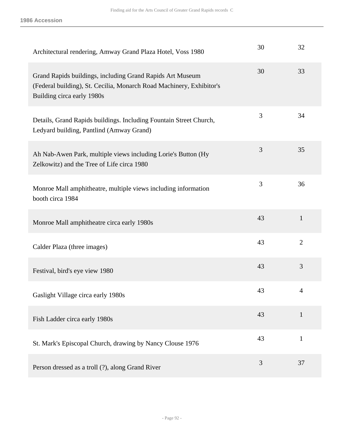| Architectural rendering, Amway Grand Plaza Hotel, Voss 1980                                                                                                     | 30 | 32             |
|-----------------------------------------------------------------------------------------------------------------------------------------------------------------|----|----------------|
| Grand Rapids buildings, including Grand Rapids Art Museum<br>(Federal building), St. Cecilia, Monarch Road Machinery, Exhibitor's<br>Building circa early 1980s | 30 | 33             |
| Details, Grand Rapids buildings. Including Fountain Street Church,<br>Ledyard building, Pantlind (Amway Grand)                                                  | 3  | 34             |
| Ah Nab-Awen Park, multiple views including Lorie's Button (Hy<br>Zelkowitz) and the Tree of Life circa 1980                                                     | 3  | 35             |
| Monroe Mall amphitheatre, multiple views including information<br>booth circa 1984                                                                              | 3  | 36             |
| Monroe Mall amphitheatre circa early 1980s                                                                                                                      | 43 | $\mathbf{1}$   |
| Calder Plaza (three images)                                                                                                                                     | 43 | $\overline{2}$ |
| Festival, bird's eye view 1980                                                                                                                                  | 43 | 3              |
| Gaslight Village circa early 1980s                                                                                                                              | 43 | $\overline{4}$ |
| Fish Ladder circa early 1980s                                                                                                                                   | 43 | $\mathbf{1}$   |
| St. Mark's Episcopal Church, drawing by Nancy Clouse 1976                                                                                                       | 43 | $\mathbf{1}$   |
| Person dressed as a troll (?), along Grand River                                                                                                                | 3  | 37             |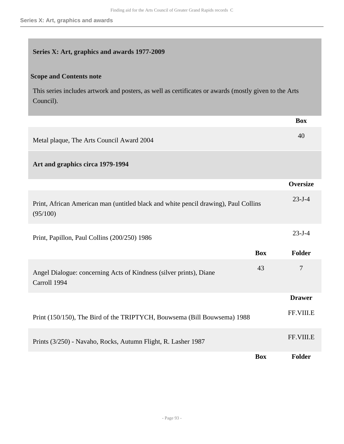### **Series X: Art, graphics and awards 1977-2009**

### **Scope and Contents note**

This series includes artwork and posters, as well as certificates or awards (mostly given to the Arts Council).

|                                                                                                 |            | <b>Box</b>      |
|-------------------------------------------------------------------------------------------------|------------|-----------------|
| Metal plaque, The Arts Council Award 2004                                                       |            | 40              |
| Art and graphics circa 1979-1994                                                                |            |                 |
|                                                                                                 |            | <b>Oversize</b> |
| Print, African American man (untitled black and white pencil drawing), Paul Collins<br>(95/100) |            | $23 - J - 4$    |
| Print, Papillon, Paul Collins (200/250) 1986                                                    |            | $23 - J - 4$    |
|                                                                                                 | <b>Box</b> | Folder          |
| Angel Dialogue: concerning Acts of Kindness (silver prints), Diane<br>Carroll 1994              | 43         | $\overline{7}$  |
|                                                                                                 |            | <b>Drawer</b>   |
| Print (150/150), The Bird of the TRIPTYCH, Bouwsema (Bill Bouwsema) 1988                        |            | FF.VIII.E       |
| Prints (3/250) - Navaho, Rocks, Autumn Flight, R. Lasher 1987                                   |            | FF.VIII.E       |
|                                                                                                 | <b>Box</b> | Folder          |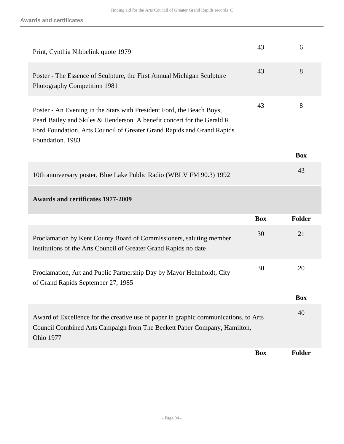| Print, Cynthia Nibbelink quote 1979                                                                                                                                                                                                             | 43         | 6             |
|-------------------------------------------------------------------------------------------------------------------------------------------------------------------------------------------------------------------------------------------------|------------|---------------|
| Poster - The Essence of Sculpture, the First Annual Michigan Sculpture<br>Photography Competition 1981                                                                                                                                          | 43         | 8             |
| Poster - An Evening in the Stars with President Ford, the Beach Boys,<br>Pearl Bailey and Skiles & Henderson. A benefit concert for the Gerald R.<br>Ford Foundation, Arts Council of Greater Grand Rapids and Grand Rapids<br>Foundation. 1983 | 43         | 8             |
|                                                                                                                                                                                                                                                 |            | <b>Box</b>    |
| 10th anniversary poster, Blue Lake Public Radio (WBLV FM 90.3) 1992                                                                                                                                                                             |            | 43            |
| <b>Awards and certificates 1977-2009</b>                                                                                                                                                                                                        |            |               |
|                                                                                                                                                                                                                                                 | <b>Box</b> | <b>Folder</b> |
| Proclamation by Kent County Board of Commissioners, saluting member<br>institutions of the Arts Council of Greater Grand Rapids no date                                                                                                         | 30         | 21            |
| Proclamation, Art and Public Partnership Day by Mayor Helmholdt, City<br>of Grand Rapids September 27, 1985                                                                                                                                     | 30         | 20            |
|                                                                                                                                                                                                                                                 |            | <b>Box</b>    |
| Award of Excellence for the creative use of paper in graphic communications, to Arts<br>Council Combined Arts Campaign from The Beckett Paper Company, Hamilton,<br><b>Ohio 1977</b>                                                            |            | 40            |
|                                                                                                                                                                                                                                                 | <b>Box</b> | Folder        |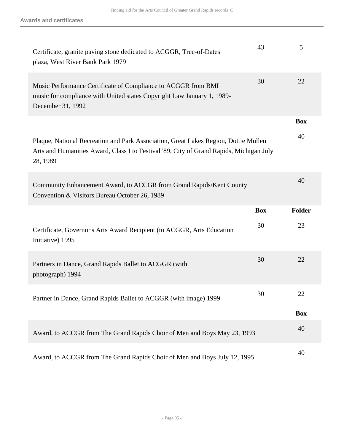| Certificate, granite paving stone dedicated to ACGGR, Tree-of-Dates<br>plaza, West River Bank Park 1979                                                                                    | 43         | 5          |
|--------------------------------------------------------------------------------------------------------------------------------------------------------------------------------------------|------------|------------|
| Music Performance Certificate of Compliance to ACGGR from BMI<br>music for compliance with United states Copyright Law January 1, 1989-<br>December 31, 1992                               | 30         | 22         |
|                                                                                                                                                                                            |            | <b>Box</b> |
| Plaque, National Recreation and Park Association, Great Lakes Region, Dottie Mullen<br>Arts and Humanities Award, Class I to Festival '89, City of Grand Rapids, Michigan July<br>28, 1989 |            | 40         |
| Community Enhancement Award, to ACCGR from Grand Rapids/Kent County<br>Convention & Visitors Bureau October 26, 1989                                                                       |            | 40         |
|                                                                                                                                                                                            |            |            |
|                                                                                                                                                                                            | <b>Box</b> | Folder     |
| Certificate, Governor's Arts Award Recipient (to ACGGR, Arts Education<br>Initiative) 1995                                                                                                 | 30         | 23         |
| Partners in Dance, Grand Rapids Ballet to ACGGR (with<br>photograph) 1994                                                                                                                  | 30         | 22         |
| Partner in Dance, Grand Rapids Ballet to ACGGR (with image) 1999                                                                                                                           | 30         | 22         |
|                                                                                                                                                                                            |            | <b>Box</b> |
| Award, to ACCGR from The Grand Rapids Choir of Men and Boys May 23, 1993                                                                                                                   |            | 40         |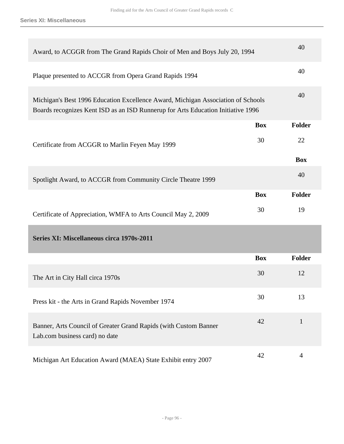| Award, to ACGGR from The Grand Rapids Choir of Men and Boys July 20, 1994                                                                                            |            | 40            |
|----------------------------------------------------------------------------------------------------------------------------------------------------------------------|------------|---------------|
| Plaque presented to ACCGR from Opera Grand Rapids 1994                                                                                                               |            | 40            |
| Michigan's Best 1996 Education Excellence Award, Michigan Association of Schools<br>Boards recognizes Kent ISD as an ISD Runnerup for Arts Education Initiative 1996 |            | 40            |
|                                                                                                                                                                      | <b>Box</b> | Folder        |
| Certificate from ACGGR to Marlin Feyen May 1999                                                                                                                      | 30         | 22            |
|                                                                                                                                                                      |            | <b>Box</b>    |
| Spotlight Award, to ACCGR from Community Circle Theatre 1999                                                                                                         |            | 40            |
|                                                                                                                                                                      | <b>Box</b> | <b>Folder</b> |
| Certificate of Appreciation, WMFA to Arts Council May 2, 2009                                                                                                        | 30         | 19            |
| Series XI: Miscellaneous circa 1970s-2011                                                                                                                            |            |               |
|                                                                                                                                                                      | <b>Box</b> | <b>Folder</b> |
| The Art in City Hall circa 1970s                                                                                                                                     | 30         | 12            |
| Press kit - the Arts in Grand Rapids November 1974                                                                                                                   | 30         | 13            |
| Banner, Arts Council of Greater Grand Rapids (with Custom Banner<br>Lab.com business card) no date                                                                   | 42         | $\mathbf{1}$  |
| Michigan Art Education Award (MAEA) State Exhibit entry 2007                                                                                                         | 42         | 4             |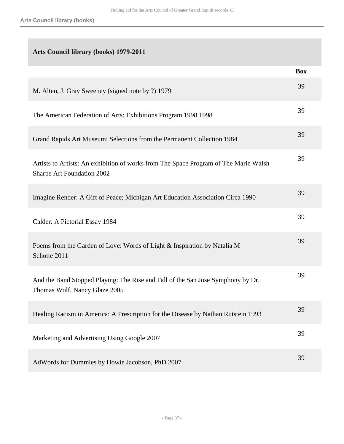# **Arts Council library (books) 1979-2011**

|                                                                                                                    | <b>Box</b> |
|--------------------------------------------------------------------------------------------------------------------|------------|
| M. Alten, J. Gray Sweeney (signed note by ?) 1979                                                                  | 39         |
| The American Federation of Arts: Exhibitions Program 1998 1998                                                     | 39         |
| Grand Rapids Art Museum: Selections from the Permanent Collection 1984                                             | 39         |
| Artists to Artists: An exhibition of works from The Space Program of The Marie Walsh<br>Sharpe Art Foundation 2002 | 39         |
| Imagine Render: A Gift of Peace; Michigan Art Education Association Circa 1990                                     | 39         |
| Calder: A Pictorial Essay 1984                                                                                     | 39         |
| Poems from the Garden of Love: Words of Light & Inspiration by Natalia M<br>Schotte 2011                           | 39         |
| And the Band Stopped Playing: The Rise and Fall of the San Jose Symphony by Dr.<br>Thomas Wolf, Nancy Glaze 2005   | 39         |
| Healing Racism in America: A Prescription for the Disease by Nathan Rutstein 1993                                  | 39         |
| Marketing and Advertising Using Google 2007                                                                        | 39         |
| AdWords for Dummies by Howie Jacobson, PhD 2007                                                                    | 39         |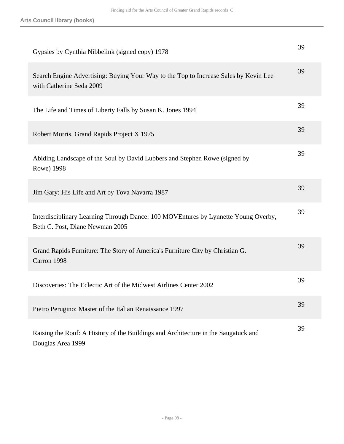| Gypsies by Cynthia Nibbelink (signed copy) 1978                                                                       | 39 |
|-----------------------------------------------------------------------------------------------------------------------|----|
| Search Engine Advertising: Buying Your Way to the Top to Increase Sales by Kevin Lee<br>with Catherine Seda 2009      | 39 |
| The Life and Times of Liberty Falls by Susan K. Jones 1994                                                            | 39 |
| Robert Morris, Grand Rapids Project X 1975                                                                            | 39 |
| Abiding Landscape of the Soul by David Lubbers and Stephen Rowe (signed by<br>Rowe) 1998                              | 39 |
| Jim Gary: His Life and Art by Tova Navarra 1987                                                                       | 39 |
| Interdisciplinary Learning Through Dance: 100 MOVEntures by Lynnette Young Overby,<br>Beth C. Post, Diane Newman 2005 | 39 |
| Grand Rapids Furniture: The Story of America's Furniture City by Christian G.<br>Carron 1998                          | 39 |
| Discoveries: The Eclectic Art of the Midwest Airlines Center 2002                                                     | 39 |
| Pietro Perugino: Master of the Italian Renaissance 1997                                                               | 39 |
| Raising the Roof: A History of the Buildings and Architecture in the Saugatuck and<br>Douglas Area 1999               | 39 |